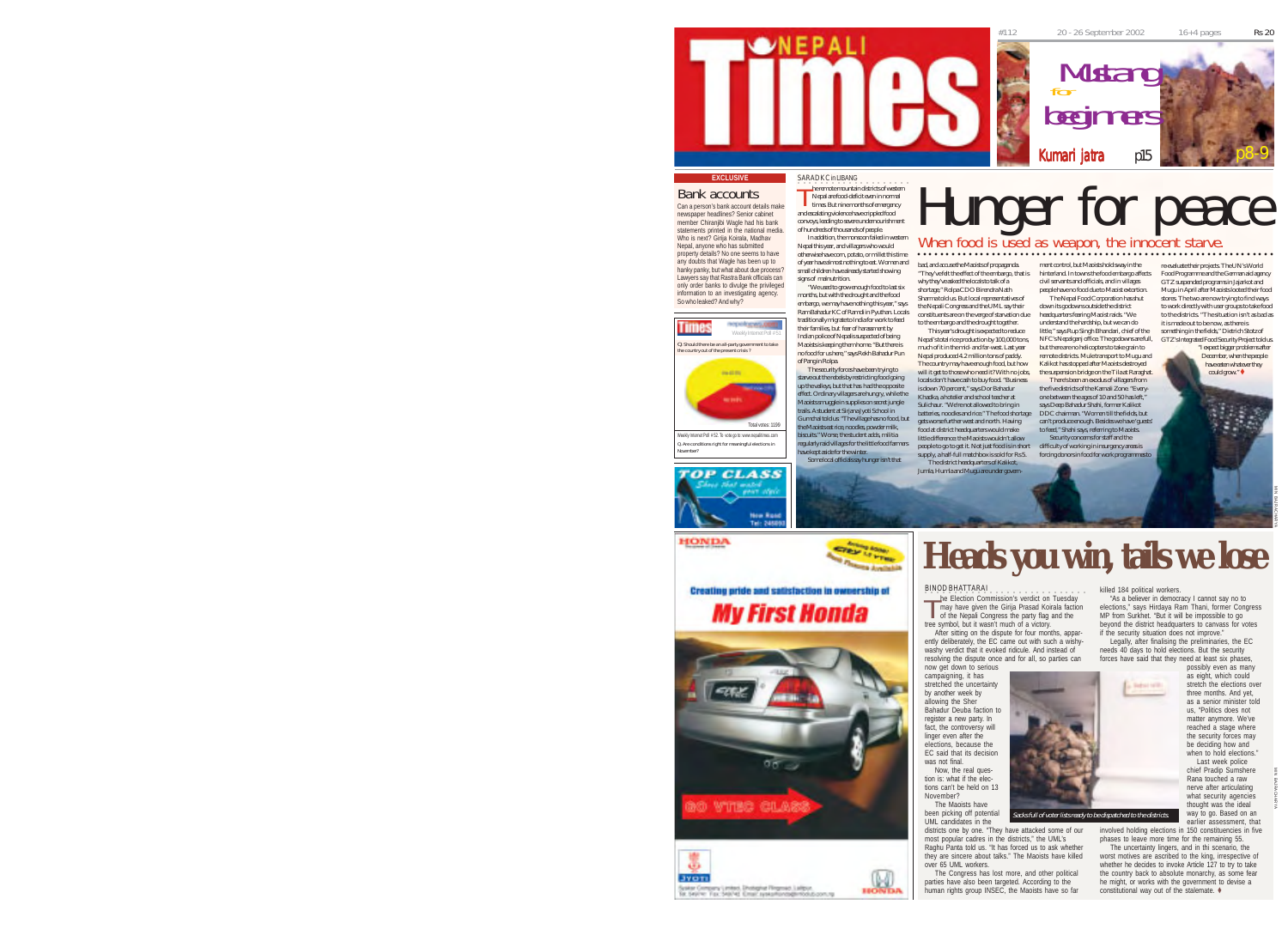

why they've asked the locals to talk of a

## Bank accounts

Can a person's bank account details make newspaper headlines? Senior cabinet member Chiranjibi Wagle had his bank statements printed in the national media. Who is next? Girija Koirala, Madhav Nepal, anyone who has submitted property details? No one seems to have any doubts that Wagle has been up to hanky panky, but what about due process? Lawyers say that Rastra Bank officials can only order banks to divulge the privileged information to an investigating agency. So who leaked? And why?

**Times** nopolement is Should there be an all-party govern to country out of the present crisis ?



Q. Are conditions right for meaningful elections in November?



HONDA

## Creating pride and satisfaction in ownership of **My First Honda**



Sysker Company Limited, Dhobighat Ringmad, Lalipux.<br>Tel: Selvini: Yax: Selvini: Email: syskarhonds@intodub.com

3 **JYOTI** 

■ he remote mountain districts of western Nepal are food-deficit even in normal times. But nine months of emergency and escalating violence have crippled food convoys, leading to severe undernourishment of hundreds of thousands of people. In addition, the monsoon failed in western T

Nepal this year, and villagers who would otherwise have corn, potato, or millet this time of year have almost nothing to eat. Women and small children have already started showing signs of malnutrition. "We used to grow enough food to last six bad, and accuse the Maoists of propaganda.

months, but with the drought and the food embargo, we may have nothing this year," says Ram Bahadur KC of Ramdi in Pyuthan. Locals traditionally migrate to India for work to feed their families, but fear of harassment by Indian police of Nepalis suspected of being Maoists is keeping them home. "But there is shortage," Rolpa CDO Birendra Nath Sharma told us. But local representatives of the Nepali Congress and the UML say their constituents are on the verge of starvation due to the embargo and the drought together. This year's drought is expected to reduce Nepal's total rice production by 100,000 tons,

no food for us here," says Rekh Bahadur Pun of Pang in Rolpa. The security forces have been trying to starve out the rebels by restricting food going up the valleys, but that has had the opposite effect. Ordinary villagers are hungry, while the s smuggle in supplies on secret jungle trails. A student at Sirjana Jyoti School in much of it in the mid- and far-west. Last year Nepal produced 4.2 million tons of paddy. The country may have enough food, but how will it get to those who need it? With no jobs, locals don't have cash to buy food. "Business is down 70 percent," says Dor Bahadur Khadka, a hotelier and school teacher at Sulichaur. "We're not allowed to bring in batteries, noodles and rice." The food shortage

Gumchal told us: "The village has no food, but the Maoists eat rice, noodles, powder milk, biscuits." Worse, the student adds, militia regularly raid villages for the little food farmers ve kept aside for the winter. Some local officials say hunger isn't that gets worse further west and north. Having food at district headquarters would make little difference: the Maoists wouldn't allow people to go to get it. Not just food is in short supply, a half-full matchbox is sold for Rs 5. The district headquarters of Kalikot,

> **CIEY LIVING County Property Avenue**

> > $M$

Jumla, Humla and Mugu are under govern-

"They've felt the effect of the embargo, that is hinterland. In towns the food embargo affects ment control, but Maoists hold sway in the civil servants and officials, and in villages people have no food due to Maoist extortion. ○○○○○○○○○ ○○○○○○○○○○○○○○○○○○○○○○○○○○○○○○○○○○○○○○○○○○○○○○○○○○○○○○

When food is used as weapon, the innocent starve.

The Nepal Food Corporation has shut down its godowns outside the district headquarters fearing Maoist raids. "We understand the hardship, but we can do little," says Rup Singh Bhandari, chief of the

NFC's Nepalganj office. The godowns are full,<br>but there are no helicopters to take grain to remote districts. Mule transport to Mugu and Kalikot has stopped after Maoists destroyed the suspension bridge on the Tila at Raraghat. There's been an exodus of villagers from

the five districts of the Karnali Zone. "Every one between the ages of 10 and 50 has left," says Deep Bahadur Shahi, former Kalikot DDC chairman. "Women till the fields, but can't produce enough. Besides we have 'guests' to feed," Shahi says, referring to Maoists. Security concerns for staff and the ment control. Cut Mosics hold was the conduct of the conduction of the conduction of the conduction of the conduction of the Neptun conduction properties of the Neptun properties of the Neptun properties of the Neptun Con

difficulty of working in insurgency areas is<br>forcing donors in food for work programmes to

MIN BAJRACHARYA

# BINOD BHATTARAI **Heads you win, tails we lose**

killed 184 political workers.

**Service Address** 

"As a believer in democracy I cannot say no to elections," says Hirdaya Ram Thani, former Congress MP from Surkhet. "But it will be impossible to go beyond the district headquarters to canvass for votes if the security situation does not improve." Legally, after finalising the preliminaries, the EC

needs 40 days to hold elections. But the security forces have said that they need at least six phases,

possibly even as many as eight, which could stretch the elections over three months. And yet, as a senior minister told us, "Politics does not matter anymore. We've reached a stage where the security forces may be deciding how and when to hold elections. Last week police chief Pradip Sumshere

Rana touched a raw nerve after articulating what security agencies thought was the ideal way to go. Based on an MIN BAJRACHARYA

earlier assessment, that involved holding elections in 150 constituencies in five phases to leave more time for the remaining 55. The uncertainty lingers, and in thi scenario, the worst motives are ascribed to the king, irrespective of whether he decides to invoke Article 127 to try to take the country back to absolute monarchy, as some fear he might, or works with the government to devise a  $\frac{1}{2}$  constitutional way out of the stalemate.  $\bullet$ 



districts one by one. "They have attacked some of our most popular cadres in the districts," the UML's Sacks full of voter lists ready to be dispatched to the districts.

The Election Commission's verdict on Tuesday<br>
may have given the Girija Prasad Koirala faction<br>
of the Neoali Congress the party flag and the may have given the Girija Prasad Koirala faction of the Nepali Congress the party flag and the tree symbol, but it wasn't much of a victory. After sitting on the dispute for four months, appar-ently deliberately, the EC came out with such a wishywashy verdict that it evoked ridicule. And instead of resolving the dispute once and for all, so parties can

Raghu Panta told us. "It has forced us to ask whether they are sincere about talks." The Maoists have killed over 65 UML workers. The Congress has lost more, and other political



register a new party. In fact, the controversy will linger even after the elections, because the EC said that its decision was not final. Now, the real question is: what if the elections can't be held on 13 November? The Maoists have

now get down to serious campaigning, it has stretched the uncertainty by another week by allowing the Sher Bahadur Deuba faction to

been picking off potential UML candidates in the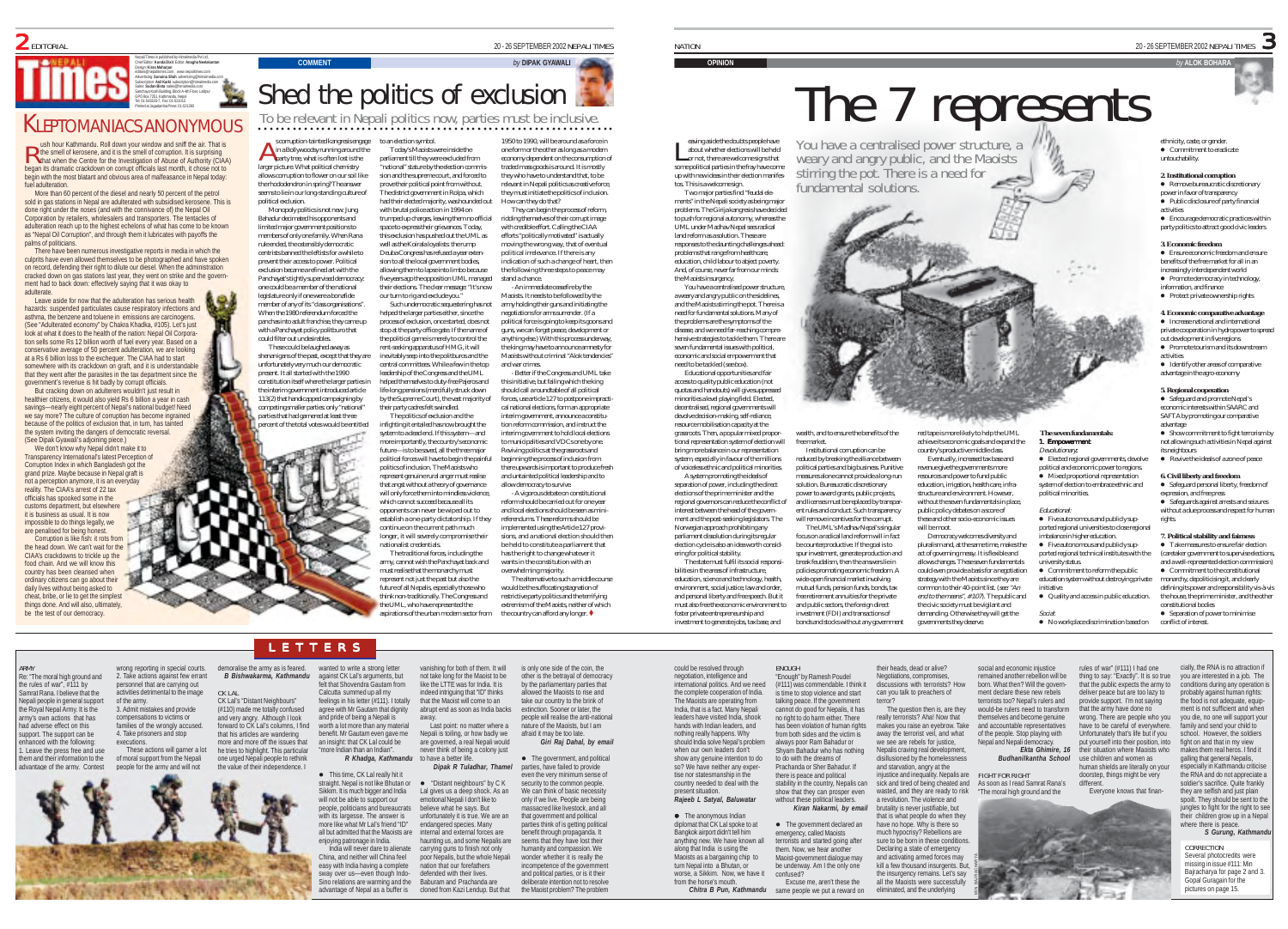#### Nepali Times is published by Himalmedia Pvt Ltd, Chief Editor: **Kunda Dixit** Editor: **Anagha Neelakantan** Design: **Kiran Maharjan** editors@nepalitimes.com, www.nepalitimes.com Advertising: **Sunaina Shah** advertising@himalmedia.com Subscription: **Anil Karki** subscription@himalmedia.com Sales: **Sudan Bista** sales@himalmedia.com Sanchaya Kosh Building, Block A-4th Floor, Lalitpur GPO Box 7251, Kathmandu, Nepal Tel: 01-543333-7, Fax: 01-521013 Printed at Jagadamba Press: 01-521393

# KLEPTOMANIACS ANONYMOUS

Rush hour Kathmandu. Roll down your window and sniff the air. That is the smell of kerosene, and it is the smell of corruption. It is surprising that when the Centre for the Investigation of Abuse of Authority (CIAA) began its dramatic crackdown on corrupt officials last month, it chose not to begin with the most blatant and obvious area of malfeasance in Nepal today: fuel adulteration. More than 60 percent of the diesel and nearly 50 percent of the petrol

sold in gas stations in Nepal are adulterated with subsidised kerosene. This is done right under the noses (and with the connivance of) the Nepal Oil Corporation by retailers, wholesalers and transporters. The tentacles of adulteration reach up to the highest echelons of what has come to be known as "Nepal Oil Corruption", and through them it lubricates with payoffs the palms of politicians.

There have been numerous investigative reports in media in which the culprits have even allowed themselves to be photographed and have spoken on record, defending their right to dilute our diesel. When the administration cracked down on gas stations last year, they went on strike and the government had to back down: effectively saying that it was okay to adulterate.

Leave aside for now that the adulteration has serious health hazards: suspended particulates cause respiratory infections and asthma, the benzene and toluene in emissions are carcinogens. (See "Adulterated economy" by Chakra Khadka, #105). Let's just look at what it does to the health of the nation: Nepal Oil Corporation sells some Rs 12 billion worth of fuel every year. Based on a conservative average of 50 percent adulteration, we are looking at a Rs 6 billion loss to the exchequer. The CIAA had to start somewhere with its crackdown on graft, and it is understandable that they went after the parasites in the tax department since the government's revenue is hit badly by corrupt officials.

But cracking down on adulterers wouldn't just result in healthier citizens, it would also yield Rs 6 billion a year in cash savings—nearly eight percent of Nepal's national budget! Need we say more? The culture of corruption has become ingrained because of the politics of exclusion that, in turn, has tainted the system inviting the dangers of democratic reversal. (See Dipak Gyawali's adjoining piece.)

We don't know why Nepal didn't make it to Transparency International's latest Perception of Corruption Index in which Bangladesh got the grand prize. Maybe because in Nepal graft is not a perception anymore, it is an everyday reality. The CIAA's arrest of 22 tax officials has spooked some in the customs department, but elsewhere it is business as usual. It is now impossible to do things legally, we are penalised for being honest. Corruption is like fish: it rots from the head down. We can't wait for the CIAA's crackdowns to trickle up the food chain. And we will know this country has been cleansed when ordinary citizens can go about their daily lives without being asked to cheat, bribe, or lie to get the simplest things done. And will also, ultimately, be the test of our democracy.

Submustion-tainted kangresis engage<br>
in a Bollywoodsy running around the<br>
party tree, what is often lost is the s corruption-tainted kangresis engage to an election symbol larger picture. What political chemistry allows corruption to flower on our soil like the rhododendron in spring? The answer seems to lie in our long-standing culture of political exclusion.

Monopoly politics is not new: Jung Bahadur decimated his opponents and limited major government positions to members of only one family. When Rana rule ended, the ostensibly democratic centrists banned the leftists for a while to prevent their access to power. Political exclusion became a refined art with the Panchayat's tightly supervised democracy: one could be a member of the national legislature only if one were a bonafide member of any of its "class organisations". When the 1980 referendum forced the panchas into adult franchise, they came up with a Panchayat policy politburo that

life-long pensions (mercifully struck down by the Supreme Court), the vast majority of their party cadres felt swindled. The politics of exclusion and the could filter out undesirables. These could be laughed away as shenanigans of the past, except that they are unfortunately very much our democratic present. It all started with the 1990 constitution itself where the larger parties in the interim government introduced article 113(2) that handicapped campaigning by competing smaller parties: only "national" parties that had garnered at least three

percent of the total votes would be entitled

traded mass goods is around. It is mostly they who have to understand that, to be relevant in Nepali politics as creative force, they must initiate the politics of inclusion. How can they do that? They can begin the process of reform, ridding themselves of their corrupt image with credible effort. Calling the CIAA "national" stature by the election commission and the supreme court, and forced to prove their political point from without. .<br>The district government in Rolpa, which had their elected majority, was hounded out with brutal police action in 1994 on trumped up charges, leaving them no official space to express their grievances. Today,

○○○○○○○○○○○○○○○○○○○○○○○○○○○○○○○○○○○ ○○○○○○○○○○○○○○○○○○○○○○○○○○○

Today's Maoists were inside the parliament till they were excluded from

Shed the politics of exclusion To be relevant in Nepali politics now, parties must be inclusive.

> efforts "politically motivated" is actually moving the wrong way, that of eventual political irrelevance. If there is any indication of such a change of heart, then the following three steps to peace may stand a chance. - An immediate ceasefire by the this exclusion has pushed out the UML as well as the Koirala loyalists: the rump Deuba Congress has refused a year extension to all the local government bodies allowing them to lapse into limbo because five years ago the opposition UML managed their elections. The clear message: "It's now

> Maoists. It needs to be followed by the army holding their guns and initiating the negotiations for arms surrender. (If a political force is going to keep its goons and guns, we can forget peace, development or anything else.) With this process underway, the king may have to announce amnesty for Maoists without criminal "Alok tendencies" and war crimes. - Better if the Congress and UML take our turn to rig and exclude you." Such undemocratic sequestering has not helped the larger parties either, since the ess of exclusion, once started, does not stop at the party office gate. If the name of the political game is merely to control the rent-seeking apparatus of HMG, it will inevitably seep into the politburos and the central committees. While a few in the top leadership of the Congress and the UML helped themselves to duty-free Pajeros and

this initiative, but failing which the king should call a roundtable of all political forces, use article 127 to postpone impractical national elections, form an appropriate

**COMMENT** *by* **DIPAK GYAWALI**

1950 to 1990, will be around as a force in one form or the other as long as a modern economy dependent on the consumption of

interim government, announce a constitution reform commission, and instruct the interim government to hold local elections to municipalities and VDCs one by one. Reviving politics at the grassroots and beginning the process of inclusion from there upwards is important to produce fresh and untainted political leadership and to allow democracy to survive. - A vigorous debate on constitutional infighting it entailed has now brought the system to a dead end. If this system—and more importantly, the country's economic future—is to be saved, all the three major political forces will have to begin the painful politics of inclusion. The Maoists who represent genuine rural anger must realise that angst without a theory of governance will only force them into mindless violence,

reform should be carried out for one year and local elections should be seen as minireferendums. These reforms should be implemented using the Article 127 provisions, and a national election should then be held to constitute a parliament that has the right to change whatever it wants in the constitution with an overwhelming majority. which cannot succeed because all its opponents can never be wiped out to establish a one-party dictatorship. If they continue on the current path much longer, it will severely compromise their The traditional forces, including the army, cannot wish the Panchayat back and must realise that the monarchy must

The alternative to such a middle course would be the suffocating stagnation of restrictive party politics and the terrifying extremism of the Maoists, neither of which the country can afford any longer.  $\blacklozenge$ represent not just the past but also the future of all Nepalis, especially those who think non-traditionally. The Congress and the UML, who have represented the aspirations of the urban modern sector from

eaving aside the doubts people have about whether elections will be held eaving aside the doubts people have<br>about whether elections will be held<br>or not, there are welcome signs that some political parties in the fray have come up with new ideas in their election manifestos. This is a welcome sign. Two major parties find "feudal elements" in the Nepali society as being major problems. The Girija kangresis have decided to push for regional autonomy, whereas the UML under Madhav Nepal sees radical land reform as a solution. These are responses to the daunting challenges ahead: problems that range from healthcare, education, child labour to abject poverty. And, of course, never far from our minds: the Maoists insurgency. You have a centralised power structure, a weary and angry public on the sidelines, and the Manists stirring the pot. There is a need for fundamental solutions. Many of the problems are the symptoms of the disease, and we need far-reaching comprehensive strategies to tackle them. There are seven fundamental issues with political, economic and social empowerment that need to be tackled (see box). Educational opportunities and fair access to quality public education (not quotas and handouts) will give suppressed minorities a level playing field. Elected, decentralised, regional governments will devolve decision-making, self-reliance, resource mobilisation capacity at the grassroots. Then, a popular mixed proportional representation system of election will bring more balance in our representation system, especially in favour of the millions of voiceless ethnic and political minorities. A system promoting the ideals of separation of power, including the direct elections of the prime minister and the regional governors can reduce the conflict of

# The 7 represents

**OPINION** *by* **ALOK BOHARA**

You have a centralised power structure, a weary and angry public, and the Maoists<br>stirring the pot. There is a need for<br>fundamental solutions.

wealth, and to ensure the benefits of the

Institutional corruption can be reduced by breaking the alliance between political parties and big business. Punitive measures alone cannot provide a long-run solution. Bureaucratic discretionary power to award grants, public projects, and licenses must be replaced by transparent rules and conduct. Such transparency will remove incentives for the corrupt. The UML's Madhav Nepal's singular revenue give the governments more resources and power to fund public public policy debates on a score of will be moot.

focus on a radical land reform will in fact be counterproductive. If the goal is to spur investment, generate production and break feudalism, then the answers lie in policies promoting economic freedom. A wide-open financial market involving mutual funds, pension funds, bonds, tax free retirement annuities for the private and public sectors, the foreign direct investment (FDI) and transactions of bonds and stocks without any government allows changes. These seven fundamentals could even provide a basis for a negotiation the civic society must be vigilant and governments they deserve.

terror?

red tape is more likely to help the UML achieve its economic goals and expand the country's productive middle class. Eventually, increased tax base and  **The seven fundamentals:** 1. Empowerment Devolutionary:  $\bullet$  Elected regional governments, devolve political and economic power to regions.

education, irrigation, health care, infrastructure and environment. However, without the seven fundamentals in place, these and other socio-economic issues Democracy welcomes diversity and pluralism and, at the same time, makes the act of governing messy. It is flexible and  $\bullet$  Mixed proportional representation system of election to embrace ethnic and political minorities. Educational: • Five autonomous and publicly supported regional universities to close regional imbalance in higher education.  $\bullet$  Five autonomous and publicly supported regional technical institutes with the university status.

strategy with the Maoists since they are common to their 40-point list. (see: "An end to the means", # 107). The public and demanding. Otherwise they will get the  $\bullet$  Commitment to reform the public education system without destroying private initiative.  $\bullet$  Quality and access in public education Social: . No workplace discrimination based on

ethnicity, caste, or gender. . Commitment to eradicate untouchability.

## **2. Institutional corruption** " Remove bureaucratic discretionary

power in favor of transparency  $\bullet$  Public disclosure of party financial activities

 $\bullet$  Encourage democratic practices within party politics to attract good civic leaders

#### **3. Economic freedom**

 $\bullet$  Ensure economic freedom and ensure benefits of the free market for all in an increasingly interdependent world . Promote democracy in technology information, and finance · Protect private ownership rights

#### **4. Economic comparative advantage**

 $\bullet$  Increase national and international private cooperation in hydropower to spread out development in five regions. • Promote tourism and its downstream activities • Identify other areas of comparative

advantage in the agro-economy

#### **5. Regional cooperation** . Safeguard and promote Nepal's

economic interests within SAARC and SAFTA by promoting our comparative advantage

• Show commitment to fight terrorism by not allowing such activities in Nepal against its neighbours **•** Revive the ideals of a zone of peace

#### **6. Civil liberty and freedom**

· Safeguard personal liberty, freedom of expression, and free press  $\bullet$  Safeguards against arrests and seizures without a due process and respect for human rights.

#### **7. Political stability and fairness**

 $\bullet$  Take measures to ensure fair election (caretaker government to supervise elections, and a well-represented election commission)  $\bullet$  Commitment to the constitutional monarchy, depoliticising it, and clearly defining its power and responsibility vis-à-vis the house, the prime minister, and the other constitutional bodies • Separation of power to minimise

> cially, the RNA is no attraction if you are interested in a job. The conditions during any operation is

conflict of interest.

ARMY Re: "The moral high ground and the rules of war", #111 by Samrat Rana. I believe that the Nepali people in general support the Royal Nepal Army. It is the army's own actions that has had adverse effect on this support. The support can be enhanced with the following:

1. Leave the press free and use hem and their information to the 4. Take prisoners and stop executions. These actions will garner a lot of moral support from the Nepali



ng reporting in special courts.

compensations to victims or

of the army.

2. Take actions against few errant personnel that are carrying out activities detrimental to the image 3. Admit mistakes and provide families of the wrongly accused. CK LAL CK Lal's "Distant Neighbours" (#110) made me totally confused and very angry. Although I look forward to CK Lal's columns, I find that his articles are wandering more and more off the issues that he tries to highlight. This particular one urged Nepali people to rethink

ralise the army as is feared. *B Bishwakarma, Kathmandu*

against CK Lal's arguments, but felt that Shovendra Gautam from Calcutta summed up all my feelings in his letter (#111). I totally agree with Mr Gautam that dignity and pride of being a Nepali is worth a lot more than any material benefit. Mr Gautam even gave me an insight: that CK Lal could be "more Indian than an Indian".

LETTERS

*R Khadga, Kathmandu*  $\bullet$  This time, CK Lal really hit it straight. Nepal is not like Bhutan or Sikkim. It is much bigger and India will not be able to support our

wanted to write a strong letter

all but admitted that the Maoists are internal and external forces are people, politicians and bureaucrats with its largesse. The answer is more like what Mr Lal's friend "ID" enjoying patronage in India. India will never dare to alienate China, and neither will China feel easy with India having a complete

carrying guns to finish not only poor Nepalis, but the whole Nepali nation that our forefathers defended with their lives. Baburam and Prachanda are cloned from Kazi Lendup. But that sway over us—even though Indo-Sino relations are warming and the advantage of Nepal as a buffer is

away.

nationalist credentials.

to have a better life.

believe what he says. But

endangered species. Many

vanishing for both of them. It will not take long for the Maoist to be like the LTTE was for India. It is indeed intriguing that "ID" thinks that the Maoist will come to an abrupt end as soon as India backs Last point: no matter where a Nepali is toiling, or how badly we are governed, a real Nepali would is only one side of the coin, the other is the betrayal of democracy by the parliamentary parties that allowed the Maoists to rise and take our country to the brink of extinction. Sooner or later, the people will realise the anti-national nature of the Maoists, but I am afraid it may be too late. *Giri Raj Dahal, by email*

never think of being a colony just *Dipak R Tuladhar, Thamel* " "Distant neighbours" by C K Lal gives us a deep shock. As an emotional Nepali I don't like to unfortunately it is true. We are an haunting us, and some Nepalis are  $\bullet$  The government, and political parties, have failed to provide even the very minimum sense of security to the common people. We can think of basic necessity only if we live. People are being assacred like livestock, and a that government and political parties think of is getting political benefit through propaganda. It seems that they have lost their humanity and compassion. We wonder whether it is really the incompetence of the government and political parties, or is it their deliberate intention not to resolve the Maoist problem? The problem

India, that is a fact. Many Nepali leaders have visited India, shook hands with Indian leaders, and nothing really happens. Why should India solve Nepal's problem when our own leaders don't show any genuine intention to do so? We have neither any expertise nor statesmanship in the country needed to deal with the present situation. *Rajeeb L Satyal, Baluwatar*  $\bullet$  The anonymous Indian diplomat that CK Lal spoke to at

Bangkok airport didn't tell him anything new. We have known all along that India is using the Maoists as a bargaining chip to turn Nepal into a Bhutan, or worse, a Sikkim. Now, we have it from the horse's mouth.

*Chitra B Pun, Kathmandu* same people we put a reward on Excuse me, aren't these the their heads, dead or alive? Negotiations, compromises, discussions with terrorists? How can you talk to preachers of The question then is, are they really terrorists? Aha! Now that makes you raise an eyebrow. Take away the terrorist veil, and what we see are rebels for justice, Nepalis craving real development repairs craving reardevelopment, and starvation, angry at the injustice and inequality. Nepalis are sick and tired of being cheated and social and economic injustice remained another rebellion will be

wasted, and they are ready to risk a revolution. The violence and brutality is never justifiable, but that is what people do when they have no hope. Why is there so much hypocrisy? Rebellions are

sure to be born in these condition. Declaring a state of emergency and activating armed forces may kill a few thousand insurgents. But the insurgency remains. Let's say all the Maoists were successfully eliminated, and the underlying

born. What then? Will the government declare these new rebels terrorists too? Nepal's rulers and would-be rulers need to transform themselves and become genuine and accountable representatives of the people. Stop playing with al and Nepali democracy. *Ekta Ghimire, 16 Budhanilkantha School* FIGHT FOR RIGHT As soon as I read Samrat Rana's "The moral high ground and the



deliver peace but are too lazy to provide support. I'm not saying that the army have done no wrong. There are people who you have to be careful of everywhere. Unfortunately that's life but if you put yourself into their position, into their situation where Maoists who use children and women as human shields are literally on your doorstep, things might be very different. Everyone knows that finanprobably against human rights: the food is not adequate, equip ment is not sufficient and when you die, no one will support you family and send your child to school. However, the soldiers fight on and that in my view makes them real heros. I find it galling that general Nepalis, especially in Kathmandu criticise the RNA and do not appreciate a soldier's sacrifice. Quite frankly they are selfish and just plain

rules of war" (#111) I had one thing to say: "Exactly". It is so true that the public expects the army to

> CORRECTION Several photocredits were spoilt. They should be sent to the jungles to fight for the right to see their children grow up in a Nepal where there is peace. *S Gurung, Kathmandu*

missing in issue #111: Min Bajracharya for page 2 and 3. Gopal Guragain for the pictures on page 15.

interest between the head of the government and the post-seeking legislators. The Norwegian approach prohibiting any parliament dissolution during its regular election cycle is also an idea worth considering for political stability. The state must fulfil its social responsibilities in the areas of infrastructure, education, science and technology, health, environment, social justice, law and order, and personal liberty and free speech. But it

free market.

must also free the economic environment to foster private entrepreneurship and investment to generate jobs, tax base, and could be resolved through negotiation, intelligence and international politics. And we need the complete cooperation of India. The Maoists are operating from

**ENOUGH** "Enough" by Ramesh Poudel (#111) was commendable. I think it is time to stop violence and start talking peace. If the government cannot do good for Nepalis, it has

no right to do harm either. There has been violation of human rights

confused?

from both sides and the victim is always poor Ram Bahadur or Shyam Bahadur who has nothing to do with the dreams of Prachanda or Sher Bahadur. If there is peace and political stability in the country, Nepalis can show that they can prosper even *Kiran Nakarmi, by email*  $\bullet$  The government declared an

without these political leaders. emergency, called Maoists

rists and started going after them. Now, we hear another Maoist-government dialogue may be underway. Am I the only one

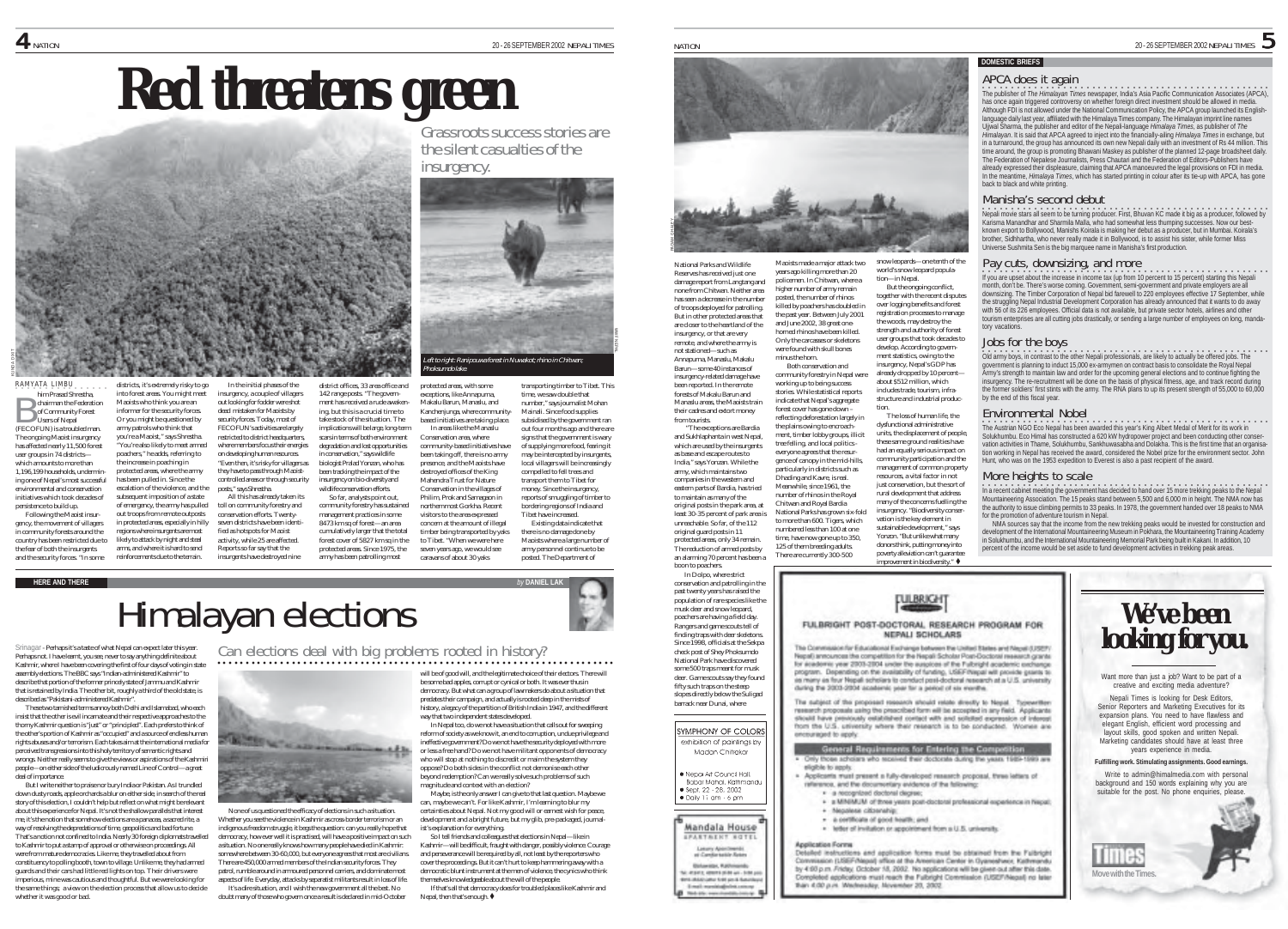# **Red threatens green**



eft to right: Ranipouwa forest in Nuwakot; rhino in Chitwan nka imdo lake

the silent casualties of the

insurgency.

RAMYATA LIMBU . . . . . . him Prasad Shrestha, chairman the Federation of Community Forest Users of Nepal (FECOFUN) is a troubled man. The ongoing Maoist insurgency has affected nearly 11,500 forest user groups in 74 districts which amounts to more than 1,196,199 households, undermining one of Nepal's most successful environmental and conservation initiatives which took decades of persistence to build up. Following the Maoist insur-B

gency, the movement of villagers in community forests around the country has been restricted due to the fear of both the insurgents and the security forces. "In some

into forest areas. You might meet Maoists who think you are an informer for the security forces. Or you might be questioned by army patrols who think that you're a Maoist," says Shrestha. "You're also likely to meet armed poachers," he adds, referring to the increase in poaching in protected areas, where the army has been pulled in. Since the escalation of the violence, and the subsequent imposition of a state of emergency, the army has pulled out troops from remote outposts in protected areas, especially in hilly insurgency, a couple of villagers out looking for fodder were shot dead mistaken for Maoists by security forces. Today, most of FECOFUN's activities are largely restricted to district headquarters, where members focus their energies on developing human resources. "Even then, it's risky for villagers as they have to pass through Maoist-

districts, it's extremely risky to go.

regions where insurgents are most likely to attack by night and steal arms, and where it is hard to send reinforcements due to the terrain.

controlled areas or through security posts," says Shrestha. All this has already taken its toll on community forestry and conservation efforts. Twentyseven districts have been identified as hotspots for Maoist

activity, while 25 are affected. Reports so far say that the insurgents have destroyed nine

In the initial phases of the

insurgency on bio-diversity and

wildlife conservation efforts. So far, analysts point out, community forestry has sustained management practices in some 8473 km sq of forest—an area cumulatively larger that the total

army has been patrolling most

district offices, 33 area office and 142 range posts. "The government has received a rude awakening, but this is a crucial time to take stock of the situation. The implications will be large, long-term scars in terms of both environment degradation and lost opportunities in conservation," says wildlife biologist Pralad Yonzan, who has been tracking the impact of the

forest cover of 5827 km sq in the protected areas. Since 1975, the to Tibet. "When we were here

protected areas, with some exceptions, like Annapurna, Makalu Barun, Manaslu, and Kanchenjunga, where communitybased initiatives are taking place. In areas like the Manaslu Conservation area, where community-based initiatives have been taking off, there is no army presence, and the Maoists have destroyed offices of the King Mahendra Trust for Nature Conservation in the villages of Philim, Prok and Samagaon in northernmost Gorkha. Recent visitors to the area expressed concern at the amount of illegal timber being transported by yaks transporting timber to Tibet. This time, we saw double that number," says journalist Mohan Mainali. Since food supplies subsidised by the government ran out four months ago and there are signs that the government is wary of supplying more food, fearing it may be intercepted by insurgents local villagers will be increasingly compelled to fell trees and transport them to Tibet for money. Since the insurgency reports of smuggling of timber to bordering regions of India and

caravans of about 30 yaks

seven years ago, we would see Tibet have increased. Existing data indicate that there is no damage done by Maoists where a large number of army personnel continue to be posted. The Department of

Wed IN 1999



Srinagar - Perhaps it's a taste of what Nepal can expect later this year. Perhaps not. I have learnt, you see, never to say anything definite about Kashmir, where I have been covering the first of four days of voting in state assembly elections. The BBC says "Indian-administered Kashmir" to describe that portion of the former princely state of Jammu and Kashmir that is retained by India. The other bit, roughly a third of the old state, is described as "Pakistani-administered Kashmir".

These two tarnished terms annoy both Delhi and Islamabad, who each insist that the other is evil incarnate and their respective approaches to the thorny Kashmir question is "just" or "principled". Each prefers to think of the other's portion of Kashmir as "occupied" and a source of endless human rights abuses and/or terrorism. Each takes aim at the international media for perceived transgressions into this holy territory of semantic rights and wrongs. Neither really seems to give the views or aspirations of the Kashmiri people—on either side of the ludicrously named Line of Control—a great deal of importance.

But I write neither to praise nor bury India or Pakistan. As I trundled down dusty roads, apple orchards a blur on either side, in search of the real story of this election, I couldn't help but reflect on what might be relevant about this experience for Nepal. It's not the shallow parallels that interest me, it's the notion that somehow elections are a panacea, a sacred rite, a way of resolving the depredations of time, geopolitics and bad fortune. That's a notion not confined to India. Nearly 30 foreign diplomats travelled to Kashmir to put a stamp of approval or otherwise on proceedings. All were from mature democracies. Like me, they travelled about from constituency to polling booth, town to village. Unlike me, they had armed guards and their cars had little red lights on top. Their drivers were imperious, mine was cautious and thoughtful. But we were looking for the same things; a view on the election process that allow us to decide whether it was good or bad.

Can elections deal with big problems rooted in history? ○○○○○○○○○○○○○○○○○○○○○○○ ○○○○○○○○○○○○○○○○○○○○○○○○○○○○○○○○○○○○○○○○○○○○○○○

Witnessmathnessth

None of us questioned the efficacy of elections in such a situation. Whether you see the violence in Kashmir as cross-border terrorism or an indigenous freedom struggle, it begs the question: can you really hope that democracy, how ever well it is practised, will have a positive impact on such a situation. No one really knows how many people have died in Kashmir: somewhere between 30-60,000, but everyone agrees that most are civilians. There are 450,000 armed members of the Indian security forces. They patrol, rumble around in armoured personnel carriers, and dominate most aspects of life. Everyday, attacks by separatist militants result in loss of life. It's a dire situation, and I wish the new government all the best. No doubt many of those who govern once a result is declared in mid-October

will be of good will, and the legitimate choice of their electors. There will be some bad apples, corrupt or cynical or both. It was ever thus in democracy. But what can a group of lawmakers do about a situation that predates their campaign, and actually is rooted deep in the mists of history, a legacy of the partition of British India in 1947, and the different way that two independent states developed.

In Nepal too, do we not have a situation that calls out for sweeping reform of society as we know it, an end to corruption, undue privilege and ineffective government? Do we not have the security deployed with more or less a free hand? Do we not have militant opponents of democracy who will stop at nothing to discredit or maim the system they oppose? Do both sides in the conflict not demonise each other beyond redemption? Can we really solve such problems of such magnitude and context with an election?

Maybe, is the only answer I can give to that last question. Maybe we can, maybe we can't. For like Kashmir, I'm learning to blur my certainties about Nepal. Not my good will or earnest wish for peace development and a bright future, but my glib, pre-packaged, journal-

ist's explanation for everything. So I tell friends and colleagues that elections in Nepal—like in Kashmir—will be difficult, fraught with danger, possibly violence. Courage and perseverance will be required by all, not least by the reporters who cover the proceedings. But it can't hurt to keep hammering away with a

democratic blunt instrument at the men of violence, the cynics who think themselves knowledgeable about the will of the people. If that's all that democracy does for troubled places like Kashmir and

Nenal, then that's enough.



National Parks and Wildlife Reserves has received just one damage report from Langtang and none from Chitwan. Neither area has seen a decrease in the number of troops deployed for patrolling. But in other protected areas that are closer to the heartland of the insurgency, or that are very remote, and where the army is not stationed—such as Annapurna, Manaslu, Makalu Barun—some 40 instances of insurgency-related damage have been reported. In the remote forests of Makalu Barun and Manaslu areas, the Maoists train Maoists made a major attack two years ago killing more than 20 policemen. In Chitwan, where a higher number of army remain posted, the number of rhinos killed by poachers has doubled in the past year. Between July 2001 and June 2002, 38 great onehorned rhinos have been killed. Only the carcasses or skeletons were found with skull bones minus the horn. Both conservation and community forestry in Nepal were working up to being success stories. While statistical reports indicate that Nepal's aggregate

their cadres and extort money from tourists. "The exceptions are Bardia and Sukhlaphanta in west Nepal, which are used by the insurgents as base and escape routes to India," says Yonzan. While the army, which maintains two companies in the western and eastern parts of Bardia, has tried to maintain as many of the original posts in the park area, at least 30-35 percent of park area is unreachable. So far, of the 112 original guard posts in 11 protected areas, only 34 remain. The reduction of armed posts by forest cover has gone down – reflecting deforestation largely in the plains owing to encroachment, timber lobby groups, illicit tree felling, and local politics everyone agrees that the resurgence of canopy in the mid-hills, particularly in districts such as Dhading and Kavre, is real. Meanwhile, since 1961, the number of rhinos in the Royal Chitwan and Royal Bardia National Parks has grown six-fold to more than 600. Tigers, which numbered less than 100 at one time, have now gone up to 350, 125 of them breeding adults. There are currently 300-500

an alarming 70 percent has been a boon to poachers. In Dolpo, where strict conservation and patrolling in the past twenty years has raised the population of rare species like the musk deer and snow leopard, poachers are having a field day. Rangers and game scouts tell of finding traps with deer skeletons.

SYMPHONY OF COLORS exhibition of paintinas by

Nebol Art Council Hall Babar Mahal, Kathmanak Sept. 22 - 28, 2002

Mandala House *EPARTRENT ROTEL* 

**Golvenson, Kaliforniah** : 4545, 4969 (686 all - 506 p<br>re delivativ fret profitamile I was reputated and come

snow leopards—one tenth of the world's snow leopard population—in Nepal. But the ongoing conflict, together with the recent disputes over logging benefits and forest registration processes to manage the woods, may destroy the

strength and authority of forest user groups that took decades to develop. According to government statistics, owing to the insurgency, Nepal's GDP has already dropped by 10 percent about \$512 million, which includes trade, tourism, infrastructure and industrial production.

dysfunctional administrative units, the displacement of people, these same ground realities have had an equally serious impact on community participation and the management of common property resources, a vital factor in not just conservation, but the sort of rural development that address many of the concerns fuelling the insurgency. "Biodiversity conservation is the key element in sustainable development," says Yonzon. "But unlike what many donors think, putting money into poverty alleviation can't guarantee mprovement in biodiversity."  $\blacklozenge$ 

**TULBRIGHT** 

NEPALI SCHOLARS

General Requirements for Entering the Composition<br>Forthcomposition and sense for several strep payments of the Co

+ a MINIMUM of three years post-doctoral professional experience in Nepal:

roleted applications must reach the Fulbright Commission (USEF/Nepal) no later

Applicants must present a fully-developed research proposal, three letters of

during the 3003-2004 academic year for a period of six months. The subject of the proposed research should relate directly to Nepal. Typewriters research proposals using the prescribed form will be accepted in any field. Applicants sticulit have previously established contact with and solicited expression of interest from the U.S. university where their research is to be conducted. Women are

reference, and the documentary evidence of the following:

v a recognized decloral degree;

than 4:00 p.m. Wednesday, November 20, 2022.

+ Nepalesi citizenship;

 $\overline{4}$  NATION 20 - 26 SEPTEMBER 2002 NEPALI TIMES NATION 20 - 26 SEPTEMBER 2002 NEPALI TIMES  $\gamma$  . A SEPTEMBER 2002 NEPALLITIMES

#### **DOMESTIC BRIEFS** APCA does it again

○○○○○○○○○○○○○○○○○○○○○○○○○○○○○○○○○○○○○○○○○○○○○○○○○○ The publisher of *The Himalayan Times* newspaper, India's Asia Pacific Communication Associates (APCA), has once again triggered controversy on whether foreign direct investment should be allowed in media. Although FDI is not allowed under the National Communication Policy, the APCA group launched its English-language daily last year, affiliated with the Himalaya Times company. The Himalayan imprint line names Ujjwal Sharma, the publisher and editor of the Nepali-language *Himalaya Times*, as publisher of *The Himalayan*. It is said that APCA agreed to inject into the financially-ailing *Himalaya Times* in exchange, but in a turnaround, the group has announced its own new Nepali daily with an investment of Rs 44 million. This time around, the group is promoting Bhawani Maskey as publisher of the planned 12-page broadsheet daily. The Federation of Nepalese Journalists, Press Chautari and the Federation of Editors-Publishers have already expressed their displeasure, claiming that APCA manoeuvred the legal provisions on FDI in media. In the meantime, *Himalaya Times*, which has started printing in colour after its tie-up with APCA, has gone back to black and white printing.

#### Manisha's second debut

.<br>Nepali movie stars all seem to be turning producer. First, Bhuvan KC made it big as a producer, followed by Karisma Manandhar and Sharmila Malla, who had somewhat less thumping successes. Now our bestknown export to Bollywood, Manishs Koirala is making her debut as a producer, but in Mumbai. Koirala's<br>brother, Sidhhartha, who never really made it in Bollywood, is to assist his sister, while former Miss Universe Sushmita Sen is the big marquee name in Manisha's first production.

Pay cuts, downsizing, and more<br>If you are upset about the increase in income tax (up from 10 percent to 15 percent) starting this Nepali month, don't be. There's worse coming. Government, semi-government and private employers are all downsizing. The Timber Corporation of Nepal bid farewell to 220 employees effective 17 September, while the struggling Nepal Industrial Development Corporation has already announced that it wants to do away with 56 of its 226 employees. Official data is not available, but private sector hotels, airlines and other tourism enterprises are all cutting jobs drastically, or sending a large number of employees on long, mandatory vacations.

### Jobs for the boys

○○○○○○○○○○○○○○○○○○○○○○○○○○○○○○○○○○○○○○○○○○○○○○○○○○ Old army boys, in contrast to the other Nepali professionals, are likely to actually be offered jobs. The government is planning to induct 15,000 ex-armymen on contract basis to consolidate the Royal Nepal Army's strength to maintain law and order for the upcoming general elections and to continue fighting the insurgency. The re-recruitment will be done on the basis of physical fitness, age, and track record during the former soldiers' first stints with the army. The RNA plans to up its present strength of 55,000 to 60,000 by the end of this fiscal year.

#### Environmental Nobel

•<br>The Austrian NGO Eco Nepal has been awarded this year's King Albert Medal of Merit for its work in Solukhumbu. Eco Himal has constructed a 620 kW hydropower project and been conducting other conser-vation activities in Thame, Solukhumbu, Sankhuwasabha and Dolakha. This is the first time that an organisation working in Nepal has received the award, considered the Nobel prize for the environment sector. John Hunt, who was on the 1953 expedition to Everest is also a past recipient of the award.

#### More heights to scale

.<br>In a recent cabinet meeting the government has decided to hand over 15 more trekking peaks to the Nepal<br>Mountaineering Association. The 15 peaks stand between 5,500 and 6,000 m in height. The NMA now has the authority to issue climbing permits to 33 peaks. In 1978, the government handed over 18 peaks to NMA for the promotion of adventure tourism in Nepal.

NMA sources say that the income from the new trekking peaks would be invested for construction and development of the International Mountaineering Museum in Pokhara, the Mountaineering Training Academy in Solukhumbu, and the International Mountaineering Memorial Park being built in Kakani. In addition, 10 percent of the income would be set aside to fund development activities in trekking peak areas.



Want more than just a job? Want to be part of a creative and exciting media adventure?

Nepali Times is looking for Desk Editors, Senior Reporters and Marketing Executives for its expansion plans. You need to have flawless and elegant English, efficient word processing and layout skills, good spoken and written Nepali. Marketing candidates should have at least three years experience in media.

#### **Fulfilling work. Stimulating assignments. Good earnings.**

Write to admin@himalmedia.com with personal background and 150 words explaining why you are suitable for the post. No phone enquiries, please.



barrack near Dunai, where

slopes directly below the Suligad

Madan Chitrakar

Latury Approximate





 $\bullet$  Daily 11 am  $\cdot$  6 pm

FULBRIGHT POST-DOCTORAL RESEARCH PROGRAM FOR This Commission for Educational Endiviron's batteries for United States and News 2 1999 to Nepal) announces the competition for the Nepali Scholar Post-Doctoral research grants for academic year 2003-2004 under the auspices of the Fulbright academic exchange. very as four Nepali scholars to conduct post-doctoral research at a U.S. university

. a continues of good health; and letter of invitation or appointment from a U.S. university. Application Forms Detailed instructions and application forms must be obtained from the Falbright Commission (USEF/Nepal) office at the American Center in Oyaneshwer, Kathmandu<br>by 4:00 p.m. Friday, October 18, 2002. No applications will be given out after this date.

encouraged to apply.

eligible to apply.

The loss of human life, the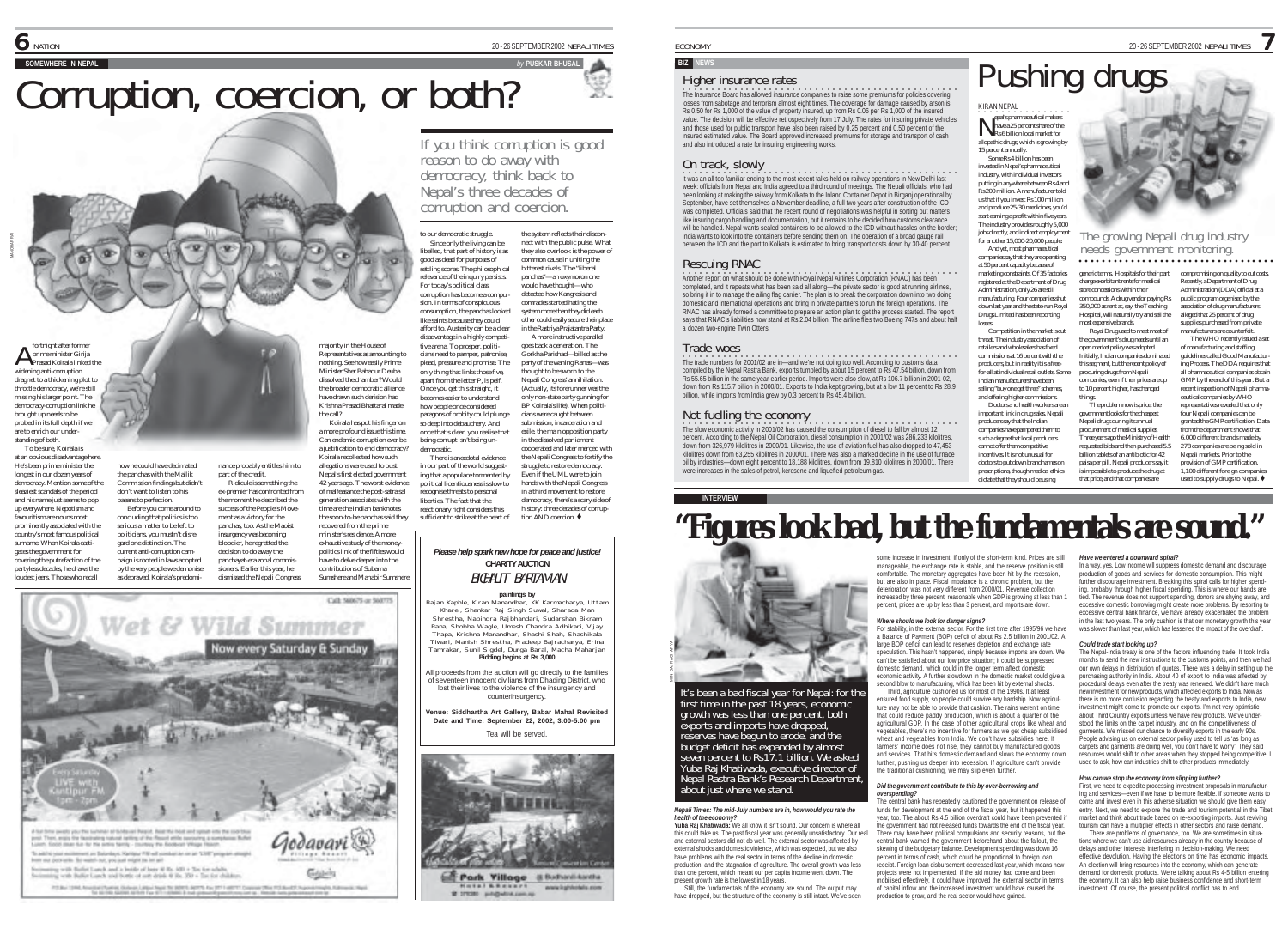## $\bullet$  NATION 20-26 SEPTEMBER 2002 NEPALI TIMES

**SOMEWHERE IN NEPAL** Corruption, coercion, or both?



fortnight after former<br>prime minister Giriia fortnight after former<br>Prime minister Girija<br>Prasad Koirala linked the widening anti-corruption dragnet to a thickening plot to throttle democracy, we're still missing his larger point. The democracy-corruption link he brought up needs to be probed in its full depth if we are to enrich our understanding of both. To be sure, Koirala is

at an obvious disadvantage here. He's been prime minister the longest in our dozen years of democracy. Mention some of the sleaziest scandals of the period and his name just seems to pop up everywhere. Nepotism and favouritism are nouns most prominently associated with the country's most famous political surname. When Koirala castigates the government for covering the putrefaction of the partyless decades, he draws the loudest jeers. Those who recall

To addition would be

the panchas with the Mallik Commission findings but didn't don't want to listen to his paeans to perfection. Before you come around to concluding that politics is too serious a matter to be left to politicians, you mustn't disregard one distinction. The current anti-corruption campaign is rooted in laws adopted

how he could have decimated

.<br>Jean Steve (weak) you this surfame ad bota use Peace, bear the boot and spinate into the state boot.<br>Jean Theodo, asset the for the water family of the Though attitude the peacety a surryinger. Butter<br>Loant, Socio, steve

Seconding with Ballet Lanch and a bobb of later 8 Rs. 601 + Tax for adults. Seconding with Ballet Lanch and Sortic of out drink 0 Rs. 202 + Tax for children

PO By 1994, Annibal Puerte, Schwar, Labyar New Street, Service Ave 211

from our protection. By waiterline, you just enight top let sell

with an Dalambaye, Karingay PM will constant for one and STMT program unsuper

by the very people we demonise as depraved. Koirala's predomi-

part of the credit. Ridicule is something the ex-premier has confronted from the moment he described the

success of the People's Movement as a victory for the panchas, too. As the Maoist insurgency was becoming bloodier, he regretted the decision to do away the

panchayat-era zonal commis sioners. Earlier this year, he dismissed the Nepali Congress

Wet & Wild Summer

nance probably entitles him to the call? Koirala has put his finger on a more profound issue this time. Can endemic corruption ever be a justification to end democracy? Koirala recollected how such allegations were used to oust

Nepal's first elected government 42 years ago. The worst evidence of malfeasance the post-satra sal generation associates with the time are the Indian banknotes the soon-to-be panchas said they recovered from the prime minister's residence. A more

Now every Saturday & Sunday

Godavari &

Golden

exhaustive study of the money politics link of the fifties would have to delve deeper into the contributions of Subarna Sumshere and Mahabir Sumsher

Call: 560075 or 360775

majority in the House of Representatives as amounting to nothing. See how easily Prime Minister Sher Bahadur Deuba dissolved the chamber? Would the broader democratic alliance have drawn such derision had Krishna Prasad Bhattarai made

If you think corruption is good reason to do away with democracy, think back to Nepal's three decades of corruption and coercion.

to our democratic struggle. Since only the living can be libelled, that part of history is as good as dead for purposes of settling scores. The philosophical relevance of the inquiry persists. For today's political class, corruption has become a compulsion. In terms of conspicuous consumption, the panchas looked like saints because they could afford to. Austerity can be a clear disadvantage in a highly competitive arena. To prosper, politicians need to pamper, patronise, plead, pressure and promise. The only thing that links those five, apart from the letter P, is pelf. Once you get this straight, it becomes easier to understand how people once considered paragons of probity could plunge so deep into debauchery. And once that's clear, you realise that being corrupt isn't being undemocratic. There is anecdotal evidence in our part of the world suggesting that a populace tormented by political licentiousness is slow to recognise threats to personal liberties. The fact that the

#### *Please help spark new hope for peace and justice!* **CHARITY AUCTION**

Rajan Kaphle, Kiran Manandhar, KK Karmacharya, Uttam Kharel, Shankar Raj Singh Suwal, Sharada Man Shrestha, Nabindra Rajbhandari, Sudarshan Bikram Rana, Shobha Wagle, Umesh Chandra Adhikari, Vijay Thapa, Krishna Manandhar, Shashi Shah, Shashikala Tiwari, Manish Shrestha, Pradeep Bajracharya, Erina Tamrakar, Sunil Sigdel, Durga Baral, Macha Maharjan **Bidding begins at Rs 3,000**

of seventeen innocent civilians from Dhading District, who lost their lives to the violence of the insurgency and counterinsurgency.

**Date and Time: September 22, 2002, 3:00-5:00 pm**



reactionary right considers this sufficient to strike at the heart of the system reflects their disconnect with the public pulse. What they also overlook is the power of common cause in uniting the bitterest rivals. The "liberal panchas"—an oxymoron one would have thought—who detected how Kangresis and comrades started hating the system more than they did each other could easily secure their place in the Rastriya Prajatantra Party. A more instructive parallel goes back a generation. The Gorkha Parishad—billed as the party of the waning Ranas—was thought to be sworn to the Nepali Congress' annihilation. (Actually, its forerunner was the only non-state party gunning for BP Koirala's life). When politicians were caught between submission, incarceration and exile, the main opposition party in the dissolved parliament cooperated and later merged with the Nepali Congress to fortify the struggle to restore democracy. Even if the UML were to join hands with the Nepali Congress in a third movement to restore democracy, there's a scary side of history: three decades of corruption AND coercion.  $\bullet$ 

# BICHALIT BARTAMAN

#### **paintings by**

All proceeds from the auction will go directly to the families

# **Venue: Siddhartha Art Gallery, Babar Mahal Revisited**

#### Tea will be served.



www.kghivotels.com profit all wall out. Justice, and

#### **BIZ NEWS**

#### Higher insurance rates

on a construction of the Insurance companies to raise some premiums for policies covering losses from sabotage and terrorism almost eight times. The coverage for damage caused by arson is Rs 0.50 for Rs 1,000 of the value of property insured, up from Rs 0.06 per Rs 1,000 of the insured value. The decision will be effective retrospectively from 17 July. The rates for insuring private vehicles and those used for public transport have also been raised by 0.25 percent and 0.50 percent of the insured estimated value. The Board approved increased premiums for storage and transport of cash and also introduced a rate for insuring engineering works.

On track, slowly<br>It was an all too familiar ending to the most recent talks held on railway operations in New Delhi last<br>week: officials from Nepal and India agreed to a third round of meetings. The Nepali officials, who h week: officials from Nepar and mala agreed to a time found of meetings. The Nepar officials, who had<br>been looking at making the railway from Kolkata to the Inland Container Depot in Birganj operational by September, have set themselves a November deadline, a full two years after construction of the ICD was completed. Officials said that the recent round of negotiations was helpful in sorting out matters like insuring cargo handling and documentation, but it remains to be decided how customs clearance will be handled. Nepal wants sealed containers to be allowed to the ICD without hassles on the border India wants to look into the containers before sending them on. The operation of a broad gauge rail between the ICD and the port to Kolkata is estimated to bring transport costs down by 30-40 percent.

 $\mathsf{Rescuin}$   $\mathsf{RMAC}$ <br>Another report on what should be done with Royal Nepal Airlines Corporation (RNAC) has been completed, and it repeats what has been said all along—the private sector is good at running airlines, so bring it in to manage the ailing flag carrier. The plan is to break the corporation down into two doing istic and international operations and bring in private partners to run the foreign operations. The RNAC has already formed a committee to prepare an action plan to get the process started. The report says that RNAC's liabilities now stand at Rs 2.04 billion. The airline flies two Boeing 747s and about half a dozen two-engine Twin Otters.

#### Trade woes

•<br>The trade numbers for 2001/02 are in—and we're not doing too well. According to customs data compiled by the Nepal Rastra Bank, exports tumbled by about 15 percent to Rs 47.54 billion, down from Rs 55.65 billion in the same year-earlier period. Imports were also slow, at Rs 106.7 billion in 2001-02, down from Rs 115.7 billion in 2000/01. Exports to India kept growing, but at a low 11 percent to Rs 28.9 billion, while imports from India grew by 0.3 percent to Rs 45.4 billion.

Not fuelling the economy<br>The slow economic activity in 2001/02 has caused the consumption of diesel to fall by almost 12<br>percent. According to the Nepal Oil Corporation, diesel consumption in 2001/02 was 286,233 kilolitres down from 326,979 kilolitres in 2000/01. Likewise, the use of aviation fuel has also dropped to 47,453 kilolitres down from 63,255 kilolitres in 2000/01. There was also a marked decline in the use of furnace oil by industries—down eight percent to 18,188 kilolitres, down from 19,810 kilolitres in 2000/01. There were increases in the sales of petrol, kerosene and liquefied petroleum gas.

# **INTERVIEW "Figures look bad, but the fundamentals are sound."**



It's been a bad fiscal year for Nepal: for the<br>first time in the past 18 years, economic<br>growth was less than one percent, both<br>exports and imports have dropped,<br>reserves have begun to erode, and the<br>budget deficit has exp

#### *Nepali Times: The mid-July numbers are in, how would you rate the health of the economy?*

**Yuba Raj Khatiwada:** We all know it isn't sound. Our concern is where all this could take us. The past fiscal year was generally unsatisfactory. Our real and external sectors did not do well. The external sector was affected by external shocks and domestic violence, which was expected, but we also have problems with the real sector in terms of the decline in domestic production, and the stagnation of agriculture. The overall growth was less than one percent, which meant our per capita income went down. The present growth rate is the lowest in 18 years.

Still, the fundamentals of the economy are sound. The output may have dropped, but the structure of the economy is still intact. We've seen some increase in investment, if only of the short-term kind. Prices are still manageable, the exchange rate is stable, and the reserve position is still comfortable. The monetary aggregates have been hit by the recession, but are also in place. Fiscal imbalance is a chronic problem, but the deterioration was not very different from 2000/01. Revenue collection increased by three percent, reasonable when GDP is growing at less than 1 percent, prices are up by less than 3 percent, and imports are down.

#### *Where should we look for danger signs?*

For stability, in the external sector. For the first time after 1995/96 we have a Balance of Payment (BOP) deficit of about Rs 2.5 billion in 2001/02. A large BOP deficit can lead to reserves depletion and exchange rate speculation. This hasn't happened, simply because imports are down. We can't be satisfied about our low price situation; it could be suppressed domestic demand, which could in the longer term affect domestic economic activity. A further slowdown in the domestic market could give a second blow to manufacturing, which has been hit by external shocks. Third, agriculture cushioned us for most of the 1990s. It at least ensured food supply, so people could survive any hardship. Now agriculture may not be able to provide that cushion. The rains weren't on time that could reduce paddy production, which is about a quarter of the agricultural GDP. In the case of other agricultural crops like wheat and vegetables, there's no incentive for farmers as we get cheap subsidised wheat and vegetables from India. We don't have subsidies here. If farmers' income does not rise, they cannot buy manufactured goods. and services. That hits domestic demand and slows the economy down further, pushing us deeper into recession. If agriculture can't provide the traditional cushioning, we may slip even further.

#### *Did the government contribute to this by over-borrowing and overspending?*

The central bank has repeatedly cautioned the government on release of funds for development at the end of the fiscal year, but it happened this year, too. The about Rs 4.5 billion overdraft could have been prevented if the government had not released funds towards the end of the fiscal year. There may have been political compulsions and security reasons, but the central bank warned the government beforehand about the fallout, the skewing of the budgetary balance. Development spending was down 16 percent in terms of cash, which could be proportional to foreign loan receipt. Foreign loan disbursement decreased last year, which means new projects were not implemented. If the aid money had come and be mobilised effectively, it could have improved the external sector in terms of capital inflow and the increased investment would have caused the production to grow, and the real sector would have gained.



The growing Nepali drug industry needs government monitoring.

generic terms. Hospitals for their part charge exorbitant rents for medical store concessions within their compounds. A drug vendor paying Rs 350,000 as rent at, say, the Teaching Hospital, will naturally try and sell the

Royal Drug used to meet most of the government's drug needs until an open market policy was adopted. Initially, Indian companies dominated this segment, but the recent policy of companies, even if their prices are up supplies purchased from private manufacturers are counterfeit.

Three years ago the Ministry of Health requested bids and then purchased 5.5

The WHO recently issued a set of manufacturing and staffing

guidelines called Good Manufacturing Process. The DDA requires that all pharmaceutical companies obtain GMP by the end of this year. But a recent inspection of Nepali pharmaceutical companies by WHO

compromising on quality to cut costs. Recently, a Department of Drug Administration (DDA) official at a public program organised by the association of drug manufacturers alleged that 25 percent of drug

representatives revealed that only four Nepali companies can be granted the GMP certification. Data from the department shows that 6,000 different brands made by 278 companies are being sold in Nepali markets. Prior to the

provision of GMP certification, 1,100 different foreign companies used to supply drugs to Nepal.  $\blacklozenge$ 

*Have we entered a downward spiral?* In a way, yes. Low income will suppress domestic demand and discourage

production of goods and services for domestic consumption. This might further discourage investments in the control of the spending, probably through higher fiscal spending. This is where our hands are tied. The revenue does not support spending, donors are shying away, and excessive domestic borrowing might create more problems. By resorting to excessive central bank finance, we have already exacerbated the problem in the last two years. The only cushion is that our monetary growth this year was slower than last year, which has lessened the impact of the overdraft.

#### *Could trade start looking up?*

The Nepal-India treaty is one of the factors influencing trade. It took India months to send the new instructions to the customs points, and then we had our own delays in distribution of quotas. There was a delay in setting up the purchasing authority in India. About 40 of export to India was affected by procedural delays even after the treaty was renewed. We didn't have much new investment for new products, which affected exports to India. Now as there is no more confusion regarding the treaty and exports to India, new investment might come to promote our exports. I'm not very optimistic about Third Country exports unless we have new products. We've understood the limits on the carpet industry, and on the competitiveness of garments. We missed our chance to diversify exports in the early 90s. People advising us on external sector policy used to tell us 'as long as carpets and garments are doing well, you don't have to worry'. They said resources would shift to other areas when they stopped being competitive. used to ask, how can industries shift to other products immediately.

#### *How can we stop the economy from slipping further?*

First, we need to expedite processing investment proposals in manufacturing and services—even if we have to be more flexible. If someone wants to come and invest even in this adverse situation we should give them easy entry. Next, we need to explore the trade and tourism potential in the Tibet market and think about trade based on re-exporting imports. Just reviving tourism can have a multiplier effects in other sectors and raise demand. There are problems of governance, too. We are sometimes in situa-

tions where we can't use aid resources already in the country because of delays and other interests interfering in decision-making. We need effective devolution. Having the elections on time has economic impacts. An election will bring resources into the economy, which can generate demand for domestic products. We're talking about Rs 4-5 billion entering the economy. It can also help raise business confidence and short-term investment. Of course, the present political conflict has to end.

ECONOMY 20 - 26 SEPTEMBER 2002 NEPALI TIMES 7

# KIRAN NEPAL Pushing drugs

**CONSECT AND SET OF START PROPERTY**<br>Rs 6 billion local market for allopathic drugs, which is growing by 15 percent annually. Some Rs 4 billion has been invested in Nepal's pharmaceutical industry, with individual investors putting in anywhere between Rs 4 and Rs 200 million. A manufacturer told us that if you invest Rs 100 million and produce 25-30 medicines, you'd start earning a profit within five years. The industry provides roughly 5,000 jobs directly, and indirect employment

for another 15,000-20,000 people. And yet, most pharmaceutical companies say that they are operating ○○○○○○○○ ○○○○○○○○○○○○○○○○○○○○○○○○○○

at 50 percent capacity because of marketing constraints. Of 35 factories registered at the Department of Drug Administration, only 26 are still manufacturing. Four companies shut down last year and the state-run Royal Drugs Limited has been reporting losses. Competition in the market is cut

producers say that the Indian

cannot offer them competitive incentives. It is not unusual for

throat. The industry association of retailers and wholesalers has fixed commissions at 16 percent with the producers, but in reality it is a freefor-all at individual retail outlets. Some Indian manufacturers have been most expensive brands. procuring drugs from Nepali

selling "buy one get three" schemes, and offering higher commissions. Doctors and health workers are an important link in drug sales. Nepali companies have pampered them to such a degree that local producers doctors to put down brandnames on prescriptions, though medical ethics dictate that they should be using to 10 percent higher, has changed things. The problem now is price: the government looks for the cheapest Nepali drugs during its annual procurement of medical supplies. billion tablets of an antibiotic for 42 paisa per pill. Nepali producers say it is impossible to produce the drug at that price, and that companies are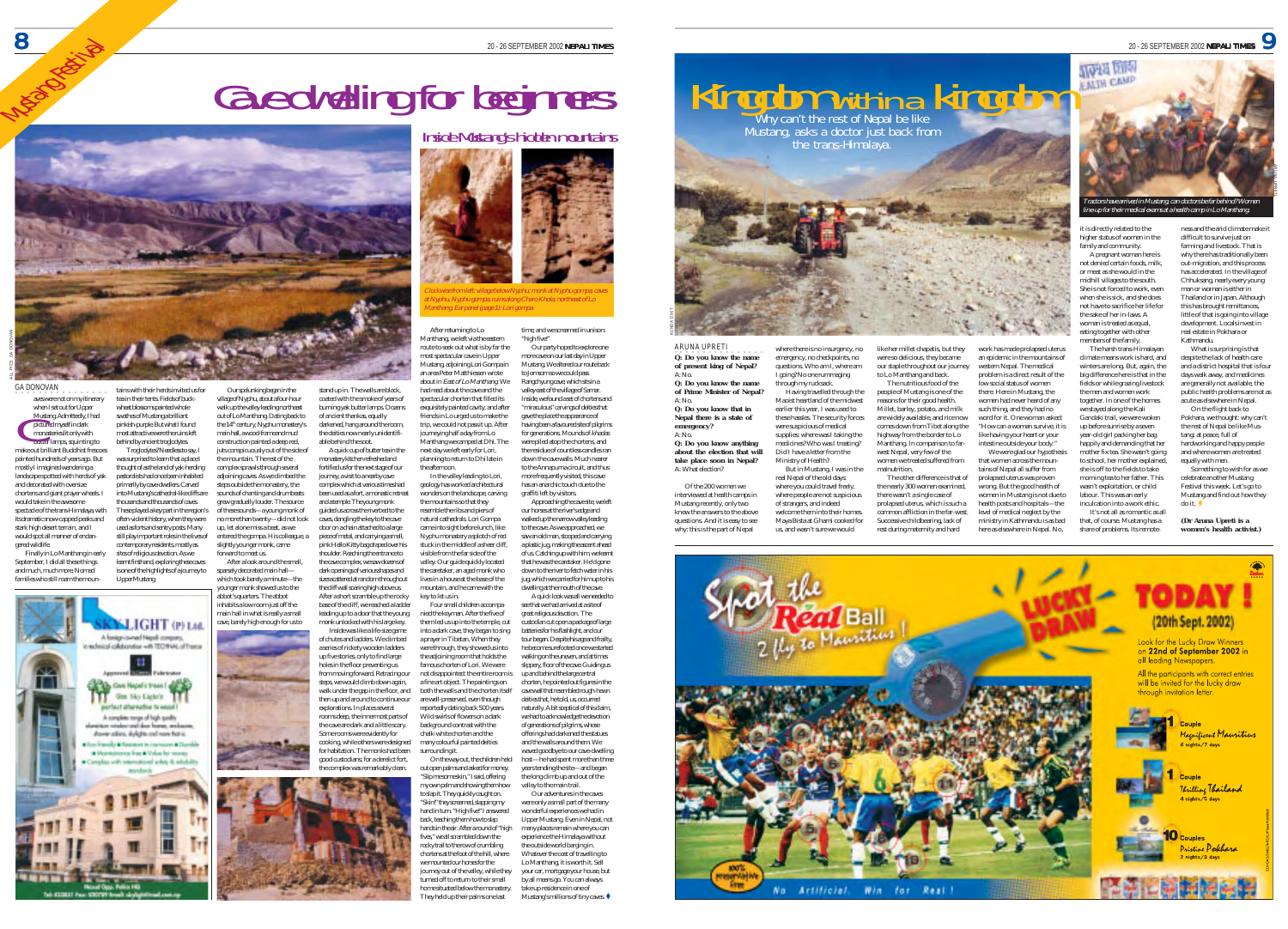# Cave-dwelling for beginners:<br>
Inside Mustang's hidden mountains



tains with their herds invited us for tea in their tents. Fields of buckwheat blossoms painted whole swathes of Mustang a brilliant pinkish-purple. But what I found most attractive were the ruins left behind by ancient troglodytes. Troglodytes? Needless to say, I was surprised to learn that a place I

primarily by cave-dwellers. Carved

thousands and thousands of caves.

contemporary residents, mostly as

GA DONOVAN aves were not on my itinerary when I set out for Upper Mustang. Admittedly, I had pictured myself in dark when I set out for Upper<br>
Mustang. Admittedly, I i<br>
pictured myself in dark<br>
monasteries it only with<br>
hutter lamps squiption butter lamps, squinting to make out brilliant Buddhist frescoes painted hundreds of years ago. But mostly I imagined wandering a landscape spotted with herds of yak and decorated with oversize chortens and giant prayer wheels. I would take in the awesome spectacle of the trans-Himalaya, with its dramatic snow-capped peaks and stark high desert terrain, and I would spot all manner of endangered wildlife. Finally in Lo Manthang in early September, I did all these things

and much, much more. Nomad families who still roam the moun sites of religious devotion. As we learnt firsthand, exploring these caves is one of the highlights of a journey to Upper Mustang.





thought of as the land of yak-herding pastoralists had once been inhabited into Mustang's cathedral-like cliffs are These played a key part in the region's often-violent history, when they were used as forts and sentry posts. Many still play important roles in the lives of juts conspicuously out of the side of the mountain. The rest of the complex sprawls through several adjoining caves. As we climbed the steps outside the monastery, the sounds of chanting and drumbeats grew gradually louder. The source of these sounds—a young monk of no more than twenty—did not look up, let alone miss a beat, as we entered the gompa. His colleague, a slightly younger monk, came forward to meet us. After a look around the small,

monastery kitchen refreshed and fortified us for the next stage of our journey, a visit to a nearby cave complex which at various times had been used as a fort, a monastic retreat and a temple. The young monk

sparsely decorated main hall which took barely a minute—the caves, dangling the key to the cave door on a chain attached to a large

ounger monk showed us to the piece of metal, and carrying a small, pink Hello Kitty bag draped over his shoulder. Reaching the entrance to the cave complex, we saw dozens of dark openings of various shapes and sizes scattered at random throughout the cliff wall soaring high above us. After a short scramble up the rocky

guided us across the riverbed to the

the afternoon.

visible from the far side of the

background contrast with the chalk-white chorten and the many colourful painted deities surrounding it.

key to let us in.



of chutes and ladders. We climbed a series of rickety wooden ladders up five stories, only to find large holes in the floor preventing us from moving forward. Retracing our steps, we would climb down again, walk under the gap in the floor, and then up and around to continue our explorations. In places several rooms deep, the innermost parts of the cave are dark and a little scary. Some rooms were evidently for cooking, while others were designed for habitation. The monks had been good custodians; for a derelict fort, complex was remarkably clean.



at Nyphu, Nyphu gompa, ruins along Charo Khola, northeast of Lo Manthang. Ear panel (page 1): Lori gompa.

#### After returning to Lo Manthang, we left via the eastern route to seek out what is by far the most spectacular cave in Upper Mustang, adjoining Lori Gompa in an area Peter Matthiessen wrote time, and we screamed in unison: high five! Our party hoped to explore one more cave on our last day in Upper Mustang. We altered our route back

about in East of Lo Manthang. We had read about the cave and the spectacular chorten that filled its exquisitely painted cavity, and after friends in Lo urged us to make the trip, we could not pass it up. After journeying half a day from Lo Manthang we camped at Dhi. The next day we left early for Lori, planning to return to Dhi late in In the valley leading to Lori, geology has worked architectural wonders on the landscape, carving the mountains so that they resemble the ribs and piers of natural cathedrals. Lori Gompa came into sight before lunch, like to Jomsom so we could pass Rangchyung cave, which sits in a valley east of the village of Samar. Inside, we found a set of chortens and "miraculous" carvings of deities that gave the place the appearance of .<br>having been a favoured site of pilgrim for generations. Mounds of khadas were piled atop the chortens, and the residue of countless candles ran down the cave walls. Much nearer to the Annapurna circuit, and thus more frequently visited, this cave has an anarchic touch due to the graffiti left by visitors. Approaching the cave site, we left our horses at the river's edge and

Nyphu monastery a splotch of red stuck in the middle of a sheer cliff, valley. Our guide quickly located the caretaker, an aged monk who lives in a house at the base of the mountain, and he came with the walked up the narrow valley leading to the cave. As we approached, we saw an old man, stooped and carrying a plastic jug, making the ascent ahead of us. Catching up with him, we learnt that he was the caretaker. He'd gone down to the river to fetch water in his jug, which we carried for him up to his elling at the mouth of the cave. A quick look was all we needed to

Four small children accompanied the keyman. After the five of them led us up into the temple, cut into a dark cave, they began to sing a prayer in Tibetan. When they were through, they showed us into the adjoining room that holds the famous chorten of Lori. We were not disappointed: the entire room is a fine art object. The paintings on both the walls and the chorten itself are well-preserved, even though reportedly dating back 500 years. Wild swirls of flowers on a dark On the way out, the children held out open palms and asked for money. see that we had arrived at a site of great religious devotion. The custodian cut open a package of large batteries for his flashlight, and our tour began. Despite his age and frailty, he become surefooted once we started walking on the uneven, and at times slippery, floor of the cave. Guiding us up and behind the large central chorten, he pointed out figures in the cave wall that resembled rough-hewn deities that, he told, us, occurred naturally. A bit sceptical of this claim, we had to acknowledge the devotion of generations of pilgrims, whose offerings had darkened the statues and the walls around them. We waved goodbye to our cave-dwelling host—he had spent more than three years tending the site—and began the long climb up and out of the

"Slip me some skin," I said, offering my own palm and showing them how to slap it. They quickly caught on. "Skin!" they screamed, slapping my hand in turn. "High five!" I answe back, teaching them how to slap hands in the air. After a round of "high fives," we all scrambled down the rocky trail to the row of crumbling chortens at the foot of the hill, when we mounted our horses for the journey out of the valley, while they turned off to return to their small valley to the main trail. Our adventures in the caves were only a small part of the many wonderful experiences we had in Upper Mustang. Even in Nepal, not many places remain where you can experience the Himalaya without the outside world barging in. Whatever the cost of travelling to

home situated below the monastery. They held up their palms one last Lo Manthang, it is worth it. Sell your car, mortgage your house, but by all means go. You can always take up residence in one of Mustang's millions of tiny caves.



ARUNA UPRETI *Q: Do you know the name of present king of Nepal?* A: No. *Q: Do you know the name of Prime Minister of Nepal?* A: No. *Q: Do you know that in Nepal there is a state of emergency?* A: No. *Q: Do you know anything about the election that will take place soon in Nepal?* A: What election? Of the 200 women we I going? No one rummaging through my rucksack. earlier this year, I was used to these hassles. The security forces were suspicious of medical supplies: where was I taking the medicines? Who was I treating? Did I have a letter from the Ministry of Health? But in Mustang, I was in the real Nepal of the old days:

interviewed at health camps in Mustang recently, only two knew the answers to the above questions. And it is easy to see why: this is the part of Nepal where you could travel freely where people are not suspicious of strangers, and indeed welcome them into their home Maya Bista at Ghami cooked for us, and wasn't sure we would

 $N<sub>n</sub>$ 

Artificial.

Win for

Real !

where there is no insurgency, no emergency, no checkpoints, no questions. Who am I, where am Having travelled through the Maoist heartland of the midwest like her millet chapatis, but they were so delicious, they became our staple throughout our journey to Lo Manthang and back. The nutritious food of the people of Mustang is one of the reasons for their good health. Millet, barley, potato, and milk

are widely available, and rice now comes down from Tibet along the highway from the border to Lo Manthang. In comparison to farwest Nepal, very few of the women we treated suffered from malnutrition. The other difference is that of the nearly 300 women examined,

there wasn't a single case of prolapsed uterus, which is such a common affliction in the far-west. Successive childbearing, lack of rest during maternity and hard

an epidemic in the mountains of western Nepal. The medical

problem is a direct result of the low social status of women there. Here in Mustang, the women had never heard of any such thing, and they had no word for it. One woman asked: "How can a woman survive, it is like having your heart or your intestine outside your body." We were glad our hypothesis that women across the mountains of Nepal all suffer from prolapsed uterus was proven wrong. But the good health of

work has made prolapsed uterus

women in Mustang is not due to health posts and hospitals—the level of medical neglect by the ministry in Kathmandu is as bad here as elsewhere in Nepal. No,

**STOPE & EVERY** ARUNA UPRETI actors have arrived in N line-up for their medical exams at a health camp in Lo Manthang.

20 - 26 SEPTEMBER 2002 NEPALI TIMES

it is directly related to the higher status of women in the family and community. A pregnant woman here is not denied certain foods, milk, or meat as she would in the midhill villages to the south. She is not forced to work, even ness and the arid climate make it difficult to survive just on farming and livestock. That is why there has traditionally been out-migration, and this process has accelerated. In the village of

when she is sick, and she does not have to sacrifice her life for the sake of her in-laws. A woman is treated as equal. eating together with other members of the family. Chhuksang, nearly every young man or woman is either in Thailand or in Japan. Although this has brought remittances, little of that is going into village development. Locals invest in real estate in Pokhara or Kathmandu. What is surprising is that

*women's health activist.)*

The harsh trans-Himalayan climate means work is hard, and winters are long. But, again, the big difference here is that in the fields or while grazing livestock the men and women work together. In one of the homes we stayed along the Kali Gandaki trail, we were woken up before sunrise by a seven year-old girl packing her bag happily and demanding that her mother fix tea. She wasn't going to school, her mother explained, she is off to the fields to take morning tea to her father. This wasn't exploitation, or child labour. This was an early inculcation into a work ethic. It's not all as romantic as all despite the lack of health care and a district hospital that is four days walk away, and medicines are generally not available, the public health problems are not as acute as elsewhere in Nepal. On the flight back to Pokhara, we thought: why can't the rest of Nepal be like Mustang: at peace, full of hardworking and happy peopl and where women are treated equally with men. Something to wish for as we celebrate another Mustang Festival this week. Let's go to Mustang and find out how they do it. A *(Dr Aruna Upreti is a*

that, of course. Mustang has a share of problems. Its remote-

(20th Sept. 2002) to Mauritius Look for the Lucky Draw Winners on 22nd of September 2002 in all leading Newspapers. All the participants with correct entries will be invited for the lucky draw through invitation letter Couple Magnificent Mauritius Thrilling Thailand **Couple:** Pristine Pokhara

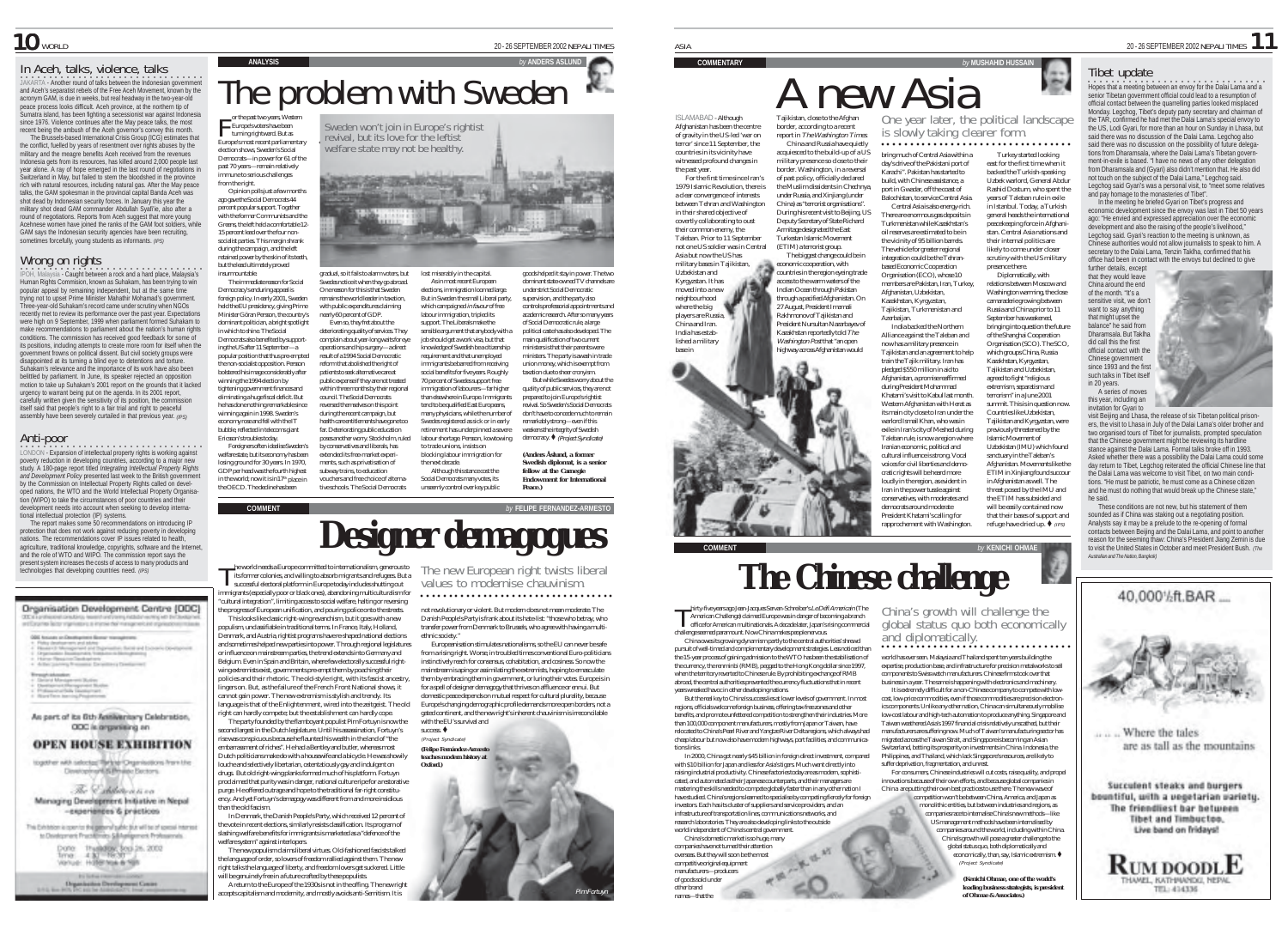### In Aceh, talks, violence, talks

JAKARTA - Another round of talks between the Indonesian government and Aceh's separatist rebels of the Free Aceh Movement, known by the acronym GAM, is due in weeks, but real headway in the two-year-old peace process looks difficult. Aceh province, at the northern tip of Sumatra island, has been fighting a secessionist war against Indonesia since 1976. Violence continues after the May peace talks, the most recent being the ambush of the Aceh governor's convey this month.

The Brussels-based International Crisis Group (ICG) estimates that the conflict, fuelled by years of resentment over rights abuses by the military and the meagre benefits Aceh received from the revenues Indonesia gets from its resources, has killed around 2,000 people last year alone. A ray of hope emerged in the last round of negotiations in Switzerland in May, but failed to stem the bloodshed in the province rich with natural resources, including natural gas. After the May peace talks, the GAM spokesman in the provincial capital Banda Aceh was shot dead by Indonesian security forces. In January this year the military shot dead GAM commander Abdullah Syafi'ie, also after a round of negotiations. Reports from Aceh suggest that more young Acehnese women have joined the ranks of the GAM foot soldiers, while GAM says the Indonesian security agencies have been recruiting, sometimes forcefully, young students as informants. *(IPS)*

#### Wrong on rights

.<br>IPOH, Malaysia - Caught between a rock and a hard place, Malaysia's<br>Human Rights Commision, known as Suhakam, has been trying to win popular appeal by remaining independent, but at the same time trying not to upset Prime Minister Mahathir Mohamad's government. Three-year-old Suhakam's record came under scrutiny when NGOs recently met to review its performance over the past year. Expectations were high on 9 September, 1999 when parliament formed Suhakam to make recommendations to parliament about the nation's human rights conditions. The commission has received good feedback for some of its positions, including attempts to create more room for itself when the government frowns on political dissent. But civil society groups were disappointed at its turning a blind eye to detentions and torture. Suhakam's relevance and the importance of its work have also been belittled by parliament. In June, its speaker rejected an opposition motion to take up Suhakam's 2001 report on the grounds that it lacked urgency to warrant being put on the agenda. In its 2001 report, carefully written given the sensitivity of its position, the commission itself said that people's right to a fair trial and right to peaceful assembly have been severely curtailed in that previous year. *(IPS)*

#### Anti-poor

**CONDON - Expansion of intellectual property rights is working against** poverty reduction in developing countries, according to a major new study. A 180-page report titled *Integrating Intellectual Property Rights and Development Policy* presented last week to the British government by the Commission on Intellectual Property Rights called on developed nations, the WTO and the World Intellectual Property Organisa-tion (WIPO) to take the circumstances of poor countries and their development needs into account when seeking to develop interna-<br>development needs into account when seeking to develop interna-<br>tional intellectual protection (IP) systems

tional intellectual protection (IP) systems. The report makes some 50 recommendations on introducing IP protection that does not work against reducing poverty in developing nations. The recommendations cover IP issues related to health, agriculture, traditional knowledge, copyrights, software and the Internet, and the role of WTO and WIPO. The commission report says the present system increases the costs of access to many products and technologies that developing countries need. *(IPS)*

### Organisation Development Centre (ODC) .<br>I Estates leito staniensko e instea dal masgioleti elit

GBS forced or Christophers Scorer management Fisher developments and address<br>Fisher of Mercupations and Departments fluctured for<br>Organization Beautiques to the form of the process

Detailed and the product that

An part of its Gth Antikentury Celebration, ODC is argumening an

### **OPEN HOUSE EXHIBITION**

together with selected the single Chipmacoos Park the Development & Broady Sectors

The Catholiche contract Managing Development Initiative in Nepal -experiences & practices

This Directors is open to the general participate the affice of special interest<br>to Diseburners Practitions Gill Aprigment Professionals

Done the Most Sep 26, 2002 APPLIE: HOBBINGA & SERI

Departures Development Count

The problem with Sweden or the past two years, Wes<br>Europe's voters have been<br>turning rightward. But as or the past two years, Western Sweden won't join in Europe's rightist revival, but its love for the leftist Europe's voters have been Europe's most recent parliamentary **COO COO COO COO COO COO COO COO COO COO COO COO COO COO COO COO COO COO COO COO COO COO COO COO COO COO COO COO COO COO COO COO COO COO COO COO COO** election shows, Sweden's Social Democrats—in power for 61 of the past 70 years-remain relatively immune to serious challenges **START AND REAL** Opinion polls just a few months **CESSING** ago gave the Social Democrats 44 percent popular support. Together with the former Communists and the Greens, the left held a comfortable 12- 15 percent lead over the four nonsocialist parties. This marnin shrank during the campaign, and the left retained power by the skin of its teeth,

> lost miserably in the capital. As in most recent European elections, immigration loomed large But in Sweden the small Liberal party, which campaigned in favour of free labour immigration, tripled its support. The Liberals make the sensible argument that anybody with a job should get a work visa, but that knowledge of Swedish be a citizenship requirement and that unemployed immigrants be barred from receiving

Although this stance cost the Social Democrats many votes, its unseemly control over key public

**ANALYSIS** *by* **ANDERS ASLUND**

The immediate reason for Social Democracy's enduring appeal is foreign policy. In early 2001, Sweden held the EU presidency, giving Prime Minister Göran Persson, the country's dominant politician, a bright spotlight Democrats also benefited by supporting the US after 11 September—a popular position that thus pre-empted the non-socialist opposition. Persson gradual, so it fails to alarm voters, but Swedes notice it when they go abroad. One reason for this is that Sweden remains the world leader in taxation, with public expenditures claiming nearly 60 percent of GDP. Even so, they fret about the deteriorating quality of services. They complain about year-long waits for eye operations and hip surgery—a direct result of a 1994 Social Democratic reform that abolished the right of patients to seek alternative care at council. The Social Democrats reversed themselves on this point during the recent campaign, but far. Deteriorating public education

Foreigners often idealise Sweden's welfare state, but its economy has been losing ground for 30 years. In 1970, by conservatives and liberals, has extended its free-market experiments, such as privatisation of subway trains, to education vouchers and free choice of alternative schools. The Social Democrats

bolstered his image considerably after tightening government finances and eliminating a huge fiscal deficit. But he has done nothing remarkable since winning again in 1998. Sweden's economy rose and fell with the IT bubble, reflected in telecoms giant public expense if they are not treated within three months by their regional health care entitlements have gone too poses another worry. Stockholm, ruled social benefits for five years. Roughly 70 percent of Swedes support free immigration of labourers—far higher than elsewhere in Europe. Immigrants tend to be qualified East Europeans, many physicians, while the number of Swedes registered as sick or in early retirement has underpinned a severe labour shortage. Persson, kowtowing to trade unions, insists on blocking labour immigration for the next decade.

GDP per head was the fourth highest in the world; now it is in17<sup>th</sup> place in the OECD. The decline has been

**COMMENT** *by* **FELIPE FERNANDEZ-ARMESTO**

from the right.

but the lead ultimately proved insurmountable.

in which to shine. The Social

winning the 1994 election by

Ericsson's troubles today.

he world needs a Europe committed to internationalism, generous to its former colonies, and willing to absorb migrants and refugees. But a successful electoral platform in Europe today includes shutting out immigrants (especially poor or black ones), abandoning multiculturalism for "cultural integration", limiting access to social welfare, halting or reversing the progress of European unification, and pouring police onto the streets. This looks like classic right-wing revanchism, but it goes with a new populism, unclassifiable in traditional terms. In France, Italy, Holland, Denmark, and Austria, rightist programs have re-shaped national elections and sometimes helped new parties into power. Through regional legislatures or influence on mainstream parties, the trend extends into Germany and Belgium. Even in Spain and Britain, where few electorally successful rightwing extremists exist, governments pre-empt them by poaching their policies and their rhetoric. The old-style right, with its fascist ancestry, lingers on. But, as the failure of the French Front National shows, it cannot gain power. The new extremism is stylish and trendy. Its language is that of the Enlightenment, wired into the zeitgeist. The old right can hardly compete; but the establishment can hardly cope. T

The party founded by the flamboyant populist Pim Fortuyn is now the second largest in the Dutch legislature. Until his assassination, Fortuyn's rise was conspicuous because he flaunted his wealth in the land of "the embarrassment of riches". He had a Bentley and butler, whereas most Dutch politicians make do with a housewife and a bicycle. He was showily louche and selectively libertarian, ostentatiously gay and indulgent on drugs. But old right-wing planks formed much of his platform. Fortuyn proclaimed that purity was in danger, national culture ripe for a restorative purge. He offered outrage and hope to the traditional far-right constituency. And yet Fortuyn's demagogy was different from and more insidious than the old fascism.

In Denmark, the Danish People's Party, which received 12 percent of the vote in recent elections, similarly resists classification. Its program of slashing welfare benefits for immigrants is marketed as a "defence of the welfare system" against interlopers.

The new populism claims liberal virtues. Old-fashioned fascists talked the language of order, so lovers of freedom rallied against them. The new right talks the language of liberty, and freedom lovers get suckered. Little will be genuinely free in a future crafted by these populists.

A return to the Europe of the 1930s is not in the offing. The new right accepts capitalism and modernity, and mostly avoids anti-Semitism. It is

The new European right twists liberal<br>values to modernise chauvinism. **Designer demagogues**

○○○○○○○○○○○○○○○○○○○○○○○○○○○○ ○○○○○○

not revolutionary or violent. But modern does not mean moderate. The Danish People's Party is frank about its hate-list: "those who betray, who transfer power from Denmark to Brussels, who agree with having a multiethnic society."

Europeanisation stimulates nationalisms, so the EU can never be safe from a rising right. Worse, in troubled times conventional Euro-politicians instinctively reach for consensus, cohabitation, and cosiness. So now the mainstream is aping or assimilating the extremists, hoping to emasculate them by embracing them in government, or luring their votes. Europe is in for a spell of designer demagogy that thrives on affluence or ennui. But domestic peace depends on mutual respect for cultural plurality, because Europe's changing demographic profile demands more open borders, not a gated continent, and the new right's inherent chauvinism is irreconcilable with the EU's survival and



goods helped it stay in power. The two dominant state-owned TV channels are under strict Social Democratic supervision, and the party also controls professorial appointments and academic research. After so many years of Social Democratic rule, a large political caste has also developed. The main qualification of two current ministers is that their parents were ministers. The party is awash in trade union money, which is exempt from taxation due to sheer cronyism. But while Swedes worry about the quality of public services, they are not prepared to join Europe's rightist revival. So Sweden's Social Democrats don't have to concede much to remain

democracy. ! (Project Syndicate) *(Anders Åslund, a former Swedish diplomat, is a senior fellow at the Carnegie Endowment for International Peace.)*

remarkably strong—even if this weakens the integrity of Swedish

# India has established a military base in

Uzbekistan and Kyrgyzstan. It has moved into a new

ISLAMABAD - Although Afghanistan has been the centre of gravity in the US-led 'war on terror' since 11 September, the countries in its vicinity have

the past year. For the first time since Iran's 1979 Islamic Revolution, there is a clear convergence of interests between Tehran and Washington in their shared objective of covertly collaborating to oust their common enemy, the Taleban. Prior to 11 September not one US soldier was in Central of past policy, officially declared the Muslim dissidents in Chechnya, under Russia, and Xinjiang (under China) as "terrorist organisations". During his recent visit to Beijing, US Deputy Secretary of State Richard Armitage designated the East Turkestan Islamic Movement (ETIM) a terrorist group.

> economic cooperation, with countries in the region eyeing trade access to the warm waters of the Indian Ocean through Pakistan through a pacified Afghanistan. On 27 August, President Imamali Rakhmonov of Tajikistan and President Nursultan Nazarbayev of Kazakhstan reportedly told The Washington Post that "an open

witnessed profound changes in Tajikistan, close to the Afghan border, according to a recent report in The Washington Times China and Russia have quietly acquiesced to the build-up of a US military presence so close to their border. Washington, in a reversal

Asia but now the US has The biggest change could be in

military bases in Tajikistan,



### **COMMENTARY** *by* **MUSHAHID HUSSAIN** A new Asia 變

One year later, the political landscape is slowly taking clearer form.

bring much of Central Asia within a Turkey started looking ○○○○ ○○○○○○○○○○○○○○○○○○○○○○○○○○○○○

day's drive of the Pakistani port of Karachi". Pakistan has started to build, with Chinese assistance, a port in Gwadar, off the coast of Balochistan, to service Central Asia. Central Asia is also energy-rich. There are enormous gas deposits in Turkmenistan while Kazakhstan's oil reserves are estimated to be in the vicinity of 95 billion barrels. The vehicle for greater regional integration could be the Tehranbased Economic Cooperation Organisation (ECO), whose 10 members are Pakistan, Iran, Turkey, Afghanistan, Uzbekistan, Kazakhstan, Kyrgyzstan, Tajikistan, Turkmenistan and Azerbaijan. India backed the Northern Alliance against the Taleban and now has a military presence in Tajikistan and an agreement to help train the Tajik military. Iran has pledged \$550 million in aid to Afghanistan, a promise reaffirmed during President Mohammad Khatami's visit to Kabul last month. Western Afghanistan with Herat as its main city close to Iran under the east for the first time when it backed the Turkish-speaking Uzbek warlord, General Abdur Rashid Dostum, who spent the years of Taleban rule in exile in Istanbul. Today, a Turkish general heads the international peacekeeping force in Afghanistan. Central Asia nations and their internal politics are likely to come under closer scrutiny with the US military presence there. Diplomatically, with relations between Moscow and Washington warming, the close camaraderie growing between Russia and China prior to 11 September has weakened, bringing into question the future of the Shanghai Cooperation Organisation (SCO). The SCO, which groups China, Russia Kazakhstan, Kyrgyzstan, Tajikistan and Uzbekistan, agreed to fight "religious extremism, separatism and terrorism" in a June 2001 summit. This is in question now. Countries like Uzbekistan,

warlord Ismail Khan, who was in exile in Iran's city of Meshed during Taleban rule, is now a region where Iranian economic, political and cultural influence is strong. Vocal voices for civil liberties and democratic rights will be heard more loudly in the region, as evident in Iran in the power tussle against conservatives, with moderates and democrats around moderate President Khatami's calling for Tajikistan and Kyrgyzstan, were previously threatened by the Islamic Movement of Uzbekistan (IMU) which found sanctuary in the Taleban's Afghanistan. Movements like the ETIM in Xinjiang found succour in Afghanistan as well. The threat posed by the IMU and the ETIM has subsided and will be easily contained now that their bases of support and

rapprochement with Washington. refuge have dried up.  $\blacklozenge$  (IPS)

China's growth will challenge the <sup>g</sup>lobal status quo both economically and diplomatically. world has ever seen. Malaysia and Thailand spent ten years building the expertise, production base, and infrastructure for precision metalworks to sell components to Swiss watch manufacturers. Chinese firms took over that business in a year. The same is happening with electronics and machinery. It is extremely difficult for a non-Chinese company to compete with lowcost, low-price commodities, even if those commodities are precision electronics components. Unlike any other nation, China can simultaneously mobilise low-cost labour and high-tech automation to produce anything. Singapore and Taiwan weathered Asia's 1997 financial crisis relatively unscathed, but their manufacturers are suffering now. Much of Taiwan's manufacturing sector has migrated across the Taiwan Strait, and Singapore is becoming an Asian Switzerland, betting its prosperity on investments in China. Indonesia, the Philippines, and Thailand, which lack Singapore's resources, are likely to suffer deprivation, fragmentation, and unrest.

○○○○ ○○○○○○○○○○○○○○○○○○○○○○○○○○○○○

For consumers, Chinese industries will cut costs, raise quality, and propel innovations because of their own efforts, and because global companies in China areputting their own best practices to use there. The new wave of competition won't be between China, America, and Japan as monolithic entities, but between industries and regions, as companies race to internalise China's new methods—like US management methods have been internalised by companies around the world, including within China. China's growth will pose a greater challenge to the global status quo, both diplomatically and economically, than, say, Islamic extremism. (Project Syndicate) *(Kenichi Ohmae, one of the world's leading business strategists, is president of Ohmae & Associates.)*

**COMMENT** *by* **KENICHI OHMAE** 

# **The Chinese challenge**

hirty-five years ago Jean-Jacques Servan-Schreiber's Le Défi Americain (The American Challenge) claimed Europe was in danger of becoming a branch office for American multinationals. A decade later, Japan's rising commercial hirty-five years ago Jean-Jacques Servan-Schreiber's *Le Délange (China meridian Challenge) claiment betweemend be*<br>Office for American multinationals. A decade later, Japan's<br>Challenge seemed paramount. Now China makes pe

China owes its growing dynamism partly to the central authorities' shrewd pursuit of well-timed and complementary development strategies. Less noticed than the 15-year process of gaining admission to the WTO has been the stabilisation of the currency, the renminbi (RMB), pegged to the Hong Kong dollar since 1997, when the territory reverted to Chinese rule. By prohibiting exchange of RMB abroad, the central authorities prevented the currency fluctuations that in recent years wreaked havoc in other developing nations.

But the real key to China's success lies at lower levels of government. In most regions, officials welcome foreign business, offering tax-free zones and other benefits, and promote unfettered competition to strengthen their industries. More than 100,000 component manufacturers, mostly from Japan or Taiwan, have relocated to China's Pearl River and Yangtze River Delta regions, which always had cheap labour but now also have modern highways, port facilities, and communications links.

In 2000, China got nearly \$45 billion in foreign direct investment, compared with \$10 billion for Japan and less for Asia's tigers. Much went directly into raising industrial productivity. Chinese factories today are as modern, sophisticated, and automated as their Japanese counterparts, and their managers are mastering the skills needed to compete globally faster than in any other nation I have studied. China's regions learned to specialise by competing fiercely for foreign investors. Each has its cluster of suppliers and service providers, and an infrastructure of transportation lines, communications networks, and research laboratories. They are also developing links to the outside

world independent of China's central government. China's domestic market is so huge, many companies have not turned their attention overseas. But they will soon be the most competitive original equipment  $\kappa^{\phi'}$ manufacturers—producers of goods sold under other brand

names—that the

official contact between the quarrelling parties looked misplaced Monday. Legchog, Tibet's deputy party secretary and chairman of the TAR, confirmed he had met the Dalai Lama's special envoy to the US, Lodi Gyari, for more than an hour on Sunday in Lhasa, but said there was no discussion of the Dalai Lama. Legchog also said there was no discussion or the Bulla Edina. Edgardy also tions from Dharamsala, where the Dalai Lama's Tibetan government-in-exile is based. "I have no news of any other delegation from Dharamsala and (Gyari) also didn't mention that. He also did not touch on the subject of the Dalai Lama," Legchog said.

Tibet update

Legchog said Gyari's was a personal visit, to "meet some relatives and pay homage to the monasteries of Tibet". In the meeting he briefed Gyari on Tibet's progress and economic development since the envoy was last in Tibet 50 years

20-26 SEPTEMBER 2002 NEPALI TIMES 1

•<br>Hopes that a meeting between an envoy for the Dalai Lama and a

senior Tibetan government official could lead to a resumption of

ago: "He envied and expressed appreciation over the economic development and also the raising of the people's livelihood," Legchog said. Gyari's reaction to the meeting is unknown, as Chinese authorities would not allow journalists to speak to him. A secretary to the Dalai Lama, Tenzin Taklha, confirmed that his office had been in contact with the envoys but declined to give

further details, except that they would leave China around the end of the month. "It's a sensitive visit, we don't want to say anything that might upset the balance" he said from Dharamsala. But Taklha did call this the first official contact with the Chinese government since 1993 and the first such talks in Tibet itself in 20 years. A series of moves

visit Beijing and Lhasa, the release of six Tibetan political prisoners, the visit to Lhasa in July of the Dalai Lama's older brother and two organised tours of Tibet for journalists, prompted speculation that the Chinese government might be reviewing its hardline stance against the Dalai Lama. Formal talks broke off in 1993. Asked whether there was a possibility the Dalai Lama could some day return to Tibet, Legchog reiterated the official Chinese line that the Dalai Lama was welcome to visit Tibet, on two main conditions. "He must be patriotic, he must come as a Chinese citizen and he must do nothing that would break up the Chinese state.

sounded as if China was staking out a negotiating position. Analysts say it may be a prelude to the re-opening of formal contacts between Beijing and the Dalai Lama, and point to another reason for the seeming thaw: China's President Jiang Zemin is due to visit the United States in October and meet President Bush. *(The Australian and The Nation, Bangkok)*

40,000%ft.BAR ..... Where the tales are as tall as the mountains Succulent steaks and burgers bountiful, with a vegetarian variety. The friendliest bar between **Tibet and Timbuctoo.** Live band on fridays! **RUM DOODLE** THAMPI KATHHANDU NPDA TEL: 414336

# this year, including an invitation for Gyari to

he said. These conditions are not new, but his statement of them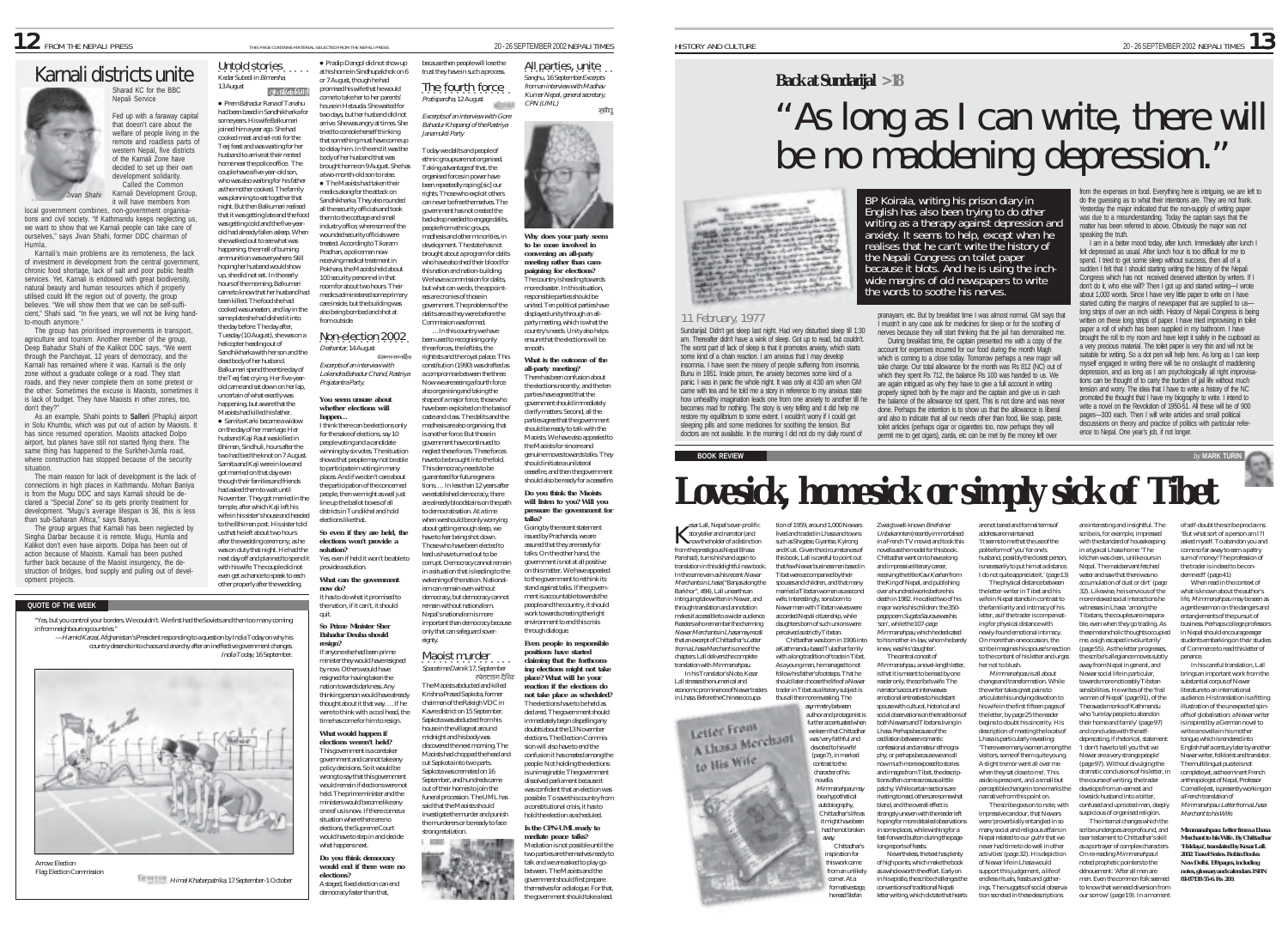**12** FROM THE NEPALI PRESS THIS PAGE CONTAINS MATERIAL SELECTED FROM THE NEPALI PRESS 200-26 SEPTEMBER 2002 NEPALI TIMES

# $Ka$ rnali districts unite Untold stories  $\sum_{\text{Kekir Shicölin Bimaxb}}$  All parties, unite and the state of the All parties, unite and the state of the All parties, unite and the state of the state of the state of the state of the



that doesn't care about the welfare of people living in the remote and roadless parts of western Nepal, five districts of the Karnali Zone have decided to set up their own development solidarity. Called the Common Karnali Development Group,

it will have members from local government combines, non-government organisations and civil society. "If Kathmandu keeps neglecting us, we want to show that we Karnali people can take care of ourselves," says Jivan Shahi, former DDC chairman of *Jivan Shahi*

Humla. Karnali's main problems are its remoteness, the lack of investment in development from the central government. chronic food shortage, lack of salt and poor public health services. Yet, Karnali is endowed with great biodiversity, natural beauty and human resources which if properly utilised could lift the region out of poverty, the group believes. "We will show them that we can be self-sufficient," Shahi said. "In five years, we will not be living handto-mouth anymore.

The group has prioritised improvements in transport. agriculture and tourism. Another member of the group, Deep Bahadur Shahi of the Kalikot DDC says, "We went through the Panchayat, 12 years of democracy, and the Karnali has remained where it was. Karnali is the only zone without a graduate college or a road. They start roads, and they never complete them on some pretext or the other. Sometimes the excuse is Maoists, sometimes it is lack of budget. They have Maoists in other zones, too, don't they?"

As an example, Shahi points to **Salleri** (Phaplu) airport in Solu Khumbu, which was put out of action by Maoists. It has since resumed operation. Maoists attacked Dolpo airport, but planes have still not started flying there. The same thing has hannened to the Surkhet-Jumla road where construction has stopped because of the security situation.

The main reason for lack of development is the lack of connections in high places in Kathmandu. Mohan Baniya is from the Mugu DDC and says Karnali should be declared a "Special Zone" so its gets priority treatment for development. "Mugu's average lifespan is 36, this is less than sub-Saharan Africa," says Baniya.

The group argues that Karnali has been neglected by Singha Darbar because it is remote. Mugu, Humla and Kalikot don't even have airports. Dolpa has been out of action because of Maoists. Karnali has been pushed further back because of the Maoist insurgency, the destruction of bridges, food supply and pulling out of development projects.

#### **QUOTE OF THE WEEK**

"Yes, but you control your borders. We couldn't. We first had the Soviets and then too many coming in from neighbouring countries."

—Hamid Karzai, Afghanistan's President responding to a question by India Today on why his country desends into chaos and anarchy after an ineffective government changes. India Today, 16 September.



Flag: Election Commission

Himal Khabarpatrika, 17 September-1 October

Untold stories . Pradip Dangol did not show up at his home in Sindhupalchok on 6 **Carl Subedi in Bimarsha, Carl Subsett** or 7 August, though he had 13 August promised his wife that he would राण्ताहिक विमार्श come to take her to her parents' " Prem Bahadur Rana of Tanahu house in Hetauda. She waited for had been based in Sandhikharka for two days, but her husband did not some years. His wife Balkumari arrive. She was angry at times. She joined him a year ago. She had tried to console herself thinking cooked meat and sel-roti for the that something must have come up Teej feast and was waiting for her husband to arrive at their rented

home near the police office. The couple have a five-year-old son, who was also waiting for his father as the mother cooked. The family was planning to eat together that night. But then Balkumari realised that it was getting late and the food was getting cold and the five-yearold had already fallen asleep. When she walked out to see what was happening, the smell of burning ammunition was everywhere. Still hoping her husband would show up, she did not eat. In the early hours of the morning, Balkumari came to know that her husband had been killed. The food she had to delay him. In the end it was the body of her husband that was brought home on 9 August. She has a two-month-old son to raise. • The Maoists had taken their medics along for the attack on Sandhikharka. They also rounded all the security officials and took them to the cottage and small industry office, where some of the wounded security officials were treated. According to Tikaram Pradhan, a policeman now receiving medical treatment in Pokhara, the Maoists held about 100 security personnel in that room for about two hours. Their medics administered some primary care inside, but the building was

cooked was uneaten, and lay in the same plate she had dished it into the day before. The day after, Tuesday (10 August), she was on a also being bombed and shot at from outside.

helicopter heading out of Sandhikharka with her son and the dead body of her husband. Balkumari spend the entire day of the Teej fast crying. Her five-yearold came and sat down on her lap, uncertain of what exactly was Prajatantra Party.

happening, but aware that the Maoists had killed his father. " Samita Karki became a widow on the day of her marriage. Her husband Kaji Raut was killed in

Bhiman, Sindhuli, hours after the two had tied the knot on 7 August. Samita and Kaji were in love and got married on that day even though their families and friends had asked them to wait until November. They got married in the temple, after which Kaji left his wife in his sister's house and headed

other properly after the wedding.

to the Bhiman post. His sister told us that he left about two hours after the wedding ceremony, as he was on duty that night. He had the next day off and planned to spend it with his wife. The couple did not even get a chance to speak to each

*What can the government now do?* It has to do what it promised to the nation, if it can't, it should

> *elections?* A staged, fixed election can end democracy faster than that

quit. *So Prime Minister Sher Bahadur Deuba should*

If anyone else had been prime minister they would have resigned

nation towards darkness. Any thinking person would have already thought about it that way. …If he were to think with a cool head, the time has come for him to resign The Maoists abducted and killed Krishna Prasad Sapkota, former chairman of the Raleigh VDC in Kavre district on 15 September. Sapkota was abducted from his

*elections weren't held?* This government is a caretaker government and cannot take any policy decisions. So it would be .<br>wrong to say that this government would remain if elections were not held. The prime minister and the ministers would become like any one of us is now. If there comes a situation where there are no elections, the Supreme Court would have to step in and decide

strong retaliation. **COMP** *Do you think democracy would end if there were no*



ethnic groups are not organised. Taking advantage of that, the organised forces in power have repeatedly raping [sic] our rights. Those who exploit others can never be free themselves. The

because then people will lose the

government has not created the backdrop needed to engage dalits, people from ethnic groups, madhesis and other minorities, in development. The state has not brought about a program for dalits who have also shed their blood for this nation and nation-building. We have a commission for dalits but what can we do, the appointees are cronies of those in wernment. The problems of the dalits are as they were before the Commission was formed.

> madhesis are also organising, that is another force. But those in government have continued to **neglect these forces.** These forces have to be brought into the fold. This democracy needs to be guaranteed for future genera-

to democratisation. At a time

ism can remain even without

Janamukti Party

#### …In this country we have Non-election 2002 been used to recognising only ○○○○○○○○○○○○○○○○ Deshantar, 14 August three forces, the leftists, the :<br>Nomina tempellon rightists and the royal palace. This

Excerpts of an interview with Lokendra Bahadur Chand, Rastriya *You seem unsure about* constitution (1990) was drafted as a compromise between the three. Now we are seeing a fourth force also organising and taking the shape of a major force, those who

*whether elections will happen…* I think there can be elections only for the sake of elections, say 10

people voting and a candidate winning by six votes. The situation shows that people may not be able to participate in voting in many places. And if we don't care about .<br>the participation of the concerned people, then we might as well just line up the ballot boxes of all districts in Tundikhel and hold elections like that.

*So even if they are held, the elections won't provide a solution?* Yes, even if held it won't be able to provide a solution.



remain without nationalism. Nepal's nationalism is more

*resign?*

by now. Others would have resigned for having taken the Maoist murder Spacetime Dainik 17, September

eignty.

*What would happen if* house in the village at around midnight and his body was discovered the next morning. Th Maoists had chopped the head and

what happens next. cut Sapkota into two parts. Sapkota was cremated on 16 September, and hundreds came out of their homes to join the funeral procession. The UML has said that the Manists should investigate the murder and punish the murderers or be ready to face



trust they have in such a process. The fourth force from an interview with Madhav **Pratispardha, 12 August** Kumar Nepal, general secretary, CPN (UML) doss

खाँघु

Excerpts of an interview with Gore Bahadur Khapangi of the Rastriya Today we dalits and people of

> *Why does your party seem to be more involved in convening an all-party meeting rather than campaigning for elections?* The country is heading towards more disaster. In this situation, responsible parties should be united. Ten political parties have displayed unity through an allparty meeting, which is what the country's needs. Unity also helps ensure that the elections will be smooth.

*What is the outcome of the all-party meeting?* There has been confusion about

have been exploited on the basis of caste and class. The dalits and the the elections recently, and the ten parties have agreed that the government should immediately clarify matters. Second, all the parties agree that the government should be ready to talk with the Maoists. We have also appealed to the Maoists for sincere and genuine moves towards talks. They should initiate a unilateral ceasefire, and then the government should also be ready for a ceasefire.

tions.... In less than 12 years after we established democracy, there are already bloodstains on the path when we should be only worrying *Do you think the Maoists will listen to you? Will you pressure the government for talks?*

about getting enough sleep, we have to fear being shot down. Those who have been elected to lead us have turned out to be corrupt. Democracy cannot remain in a situation that is leading to the wakening of the nation. Nationaldemocracy, but democracy cannot important than democracy because only that can safeguard sover-Going by the recent statement issued by Prachanda, we are assured that they are ready for talks. On the other hand, the government is not at all positive on this matter. We have appealed to the government to rethink its stand against talks. If the gover ment is accountable towards the people and the country, it should work towards creating the right environment to end this crisis through dialogue.

> *Even people in responsible positions have started claiming that the forthcom-*

*ing elections might not take place? What will be your reaction if the elections do not take place as scheduled?* The elections have to be held as declared. The government should immediately begin dispelling any doubts about the 13 November elections. The Election Commission will also have to end the confusion it has created among the people. Not holding the elections is unimaginable. The government dissolved parliament because it was confident that an election was

possible. To save this country from a constitutional crisis, it has to hold the election as scheduled. *Is the CPN-UML ready to*

#### *mediate peace talks?*

Mediation is not possible until the two parties are themselves ready to talk and we are asked to play gobetween. The Maoists and the government should first prepare hemselves for a dialogue. For that the government should take a lead.

# HISTORY AND CULTURE  $\overline{\hspace{2cm}}$

# "As long as I can write, there will be no maddening depression." **Back at Sundarijal >18**

 $-25$ 

#### 11 February, 1977

Sundarijal: Didn't get sleep last night. Had very disturbed sleep till 1:30 am. Thereafter didn't have a wink of sleep. Got up to read, but couldn't. The worst part of lack of sleep is that it promotes anxiety, which starts some kind of a chain reaction. I am anxious that I may develop insomnia. I have seen the misery of people suffering from insomnia. Bunu in 1951. Inside prison, the anxiety becomes some kind of a panic. I was in panic the whole night. It was only at 4:30 am when GM came with tea and he told me a story in reference to my anxious state how unhealthy imagination leads one from one anxiety to another till he becomes mad for nothing. The story is very telling and it did help me restore my equilibrium to some extent. I wouldn't worry if I could get sleeping pills and some medicines for soothing the tension. But doctors are not available. In the morning I did not do my daily round of

#### **BOOK REVIEW**

# **Lovesick, homesick or simply sick of Tibet**

esar Lall, Nepal's ever-prolific<br>storyteller and narrator (and<br>now the holder of a distinction now the holder of a distinction from the prestigious Nepal Bhasa Parishad), turns his hand again to translation in this delightful new book. In the same vein as his recent Newar Merchants in Lhasa ("Banjas along the Barkhor", #34), Lall unearths an intriguing tale written in Newar, and through translation and annotation makes it accessible to a wider audience. Readers who remember the charming Newar Merchants in Lhasa may recall that an excerpt of Chittadhar's Letter from a Lhasa Merchant is one of the tion of 1959, around 1,000 Newars lived and traded in Lhasa and towns such as Shigatse, Gyantse, Kyirong and Kuti. Given the circumstances of this book, Lall is careful to point out that few Newar businessmen based in Tibet were accompanied by their spouses and children, and that many married a Tibetan woman as a second wife. Interestingly, sons born to Newar men with Tibetan wives were accorded Nepali citizenship, while daughters born of such unions were perceived as strictly Tibetan. Chittadhar was born in 1906 into a Kathmandu-based Tuladhar family with a long tradition of trade in Tibe

chapters. Lall delivers the complete translation with Mimmanahpau. In his Translator's Note, Kesar Lall stresses the numerical and economic prominence of Newar traders As a young man, he managed to not follow his father's footsteps. That he should later choose the life of a Newa trader in Tibet as a literary subject is

> asymmetry between author and protagonist is further accentuated when we learn that Chittadhar was 'very faithful and devoted to his wife' (page 7), in marked contrast to the character of his novella. Mimmanahpaumay be a hypothetical autobiography, Chittadhar's life as it might have been had he not broken away. Chittadhar's inspiration for this work came from an unlikely corner. At a formative stage he read Stefan



BP Koirala, writing his prison diary in<br>English has also been trying to do other<br>writing as a therapy against depression and<br>anxiety. It seems to help, except when he<br>realises that he can't write the history of<br>the Nepali

pranayam, etc. But by breakfast time I was almost normal. GM says that I mustn't in any case ask for medicines for sleep or for the soothing of nerves because they will start thinking that the jail has demoralised me. During breakfast time, the captain presented me with a copy of the account for expenses incurred for our food during the month Magh which is coming to a close today. Tomorrow perhaps a new major will take charge. Our total allowance for the month was Rs 812 (NC) out of which they spent Rs 712, the balance Rs 100 was handed to us. We are again intrigued as why they have to give a full account in writing properly signed both by the major and the captain and give us in cash the balance of the allowance not spent. This is not done and was never done. Perhaps the intention is to show us that the allowance is liberal and also to indicate that all our needs other than food, like soap, paste, toilet articles (perhaps cigar or cigarettes too, now perhaps they will permit me to get cigars), zarda, etc can be met by the money left over

om the expenses on food. Everything here is intriguing, we are left to do the guessing as to what their intentions are. They are not frank. Yesterday the major indicated that the non-supply of writing pape was due to a misunderstanding. Today the captain says that the matter has been referred to above. Obviously the major was no speaking the truth.

I am in a better mood today, after lunch. Immediately after lunch I felt depressed as usual. After lunch hour is too difficult for me to spend. I tried to get some sleep without success, then all of a sudden I felt that I should starting writing the history of the Nepali Congress which has not received deserved attention by writers. If I don't do it, who else will? Then I got up and started writing—I wrote about 1,000 words. Since I have very little paper to write on I have started cutting the margins of newspaper that are supplied to us long strips of over an inch width. History of Nepali Congress is being written on these long strips of paper. I have tried improvising in toilet paper a roll of which has been supplied in my bathroom. I have brought the roll to my room and have kept it safely in the cupboard as erial. The toilet paper is very thin and will not be suitable for writing. So a dot pen will help here. As long as I can keep myself engaged in writing there will be no onslaught of maddening depression, and as long as I am psychologically all right improvisations can be thought of to carry the burden of jail life without much tension and worry. The idea that I have to write a history of the NC promoted the thought that I have my biography to write. I intend to write a novel on the Revolution of 1950-51. All these will be of 900 pages—300 each. Then I will write articles and small political discussions on theory and practice of politics with particular reference to Nepal. One year's job, if not longer.

Zweig's well-known Brief einer Unbekannten (recently immortalised in a French TV movie) and took this novella as the model for this book. Chittadhar went on to have a long and impressive literary career, receiving the title Kavi Keshari from the King of Nepal, and publishing over a hundred works before his death in 1982. He called two of his major works his children: the 350 page poem Sugata Saurava was his 'son', while the 107-page Mimmanahpau, which he dedicated to his mother-in-law, whom he barely knew, was his 'daughter'. are not bared and formal terms of address are maintained: 'It seems to me that the use of the polite form of 'you' for one's husband, possibly the closest person, is necessarily to put him at a distance. I do not quite appreciate it.' (page 13) The physical distance between the letter-writer in Tibet and his wife in Nepal stands in contrast to the familiarity and intimacy of his letter, as if the trader is compensating for physical distance with newly-found emotional intimacy. On more than one occasion, the scribe imagines his spouse's reaction to the content of his letter and urges

her not to blush. narrative from this point on. The scribe goes on to note, with impressive candour, that Newars

long reports of feasts. Nevertheless, the text has plenty of high points, which make the book as a whole worth the effort. Early on

in his epistle, the scribe challenges the<br>conventions of traditional Negali conventions of traditional Nepali letter writing, which dictate that hearts are interesting and insightful. The scribe is, for example, impressed with the standard of housekeeping in a typical Lhasa home: 'The kitchen was clean, unlike ours in Nepal. The maidservant fetched water and saw that there was no accumulation of dust or dirt' (page 32). Likewise, he is envious of the more relaxed social interactions he witnesses in Lhasa: 'among the Tibetans, the couples are inseparable, even when they go trading. As these melancholic thoughts occupied me, a sigh escaped involuntarily' (page 55). As the letter progresses the scribe's allegiance moves subtly away from Nepal in general, and Newar social life in particular, towards more noticeably Tibetan sensibilities. He writes of the 'frail

and concludes with the selfdevelops from an earnest and lovesick husband into a bitter,

The internal changes which the scribe undergoes are profound, and bear testament to Chittadhar's skill as a portrayer of complex characters. On re-reading Mimmanahpau I noted prophetic pointers to the dénouement: 'After all men are men. Even the common folk seemed to know that we need diversion from our sorrow' (page 19). In a moment

'But what sort of a person am I? I asked myself. To abandon you and come so far away to earn a paltry sum of money! The profession of the trader is indeed to be condemned!!' (page 41) When read in the context of what is known about the author's life, Mimmanahpau may be seen as

of self-doubt the scribe proclaims:

*by* **MARK TURIN**

a gentle sermon on the dangers and entanglements of the pursuit of business. Perhaps college professors in Nepal should encourage eager students embarking on their studies of Commerce to read this letter of penance.

brings an important work from the substantial corpus of Newar literature to an international audience. His translation is a fitting illustration of the unexpected spinoffs of globalisation: a Newar writer is inspired by a German novel to write a novella in his mother tongue, which is rendered into English half a century later by another Newar writer, folklorist and translator. The multilingual puzzle is not complete yet, as the eminent French anthropologist of Nepal, Professor Corneille Jest, is presently working on

Merchant to his Wife.

Mimmanahpau is all about

women of Nepal' (page 91), of the Theravada monks of Kathmandu who 'lure lay people to abandon their home and family' (page 97) deprecating, if rhetorical, statement: 'I don't have to tell you that we Newar are a very strange people (page 97). Without divulging the dramatic conclusions of his letter, in the course of writing, the trader

a French translation of

The central conceit of Mimmanahpau, a novel-length letter is that it is meant to be read by one reader only, the scribe's wife. The narrator's account interweave emotional entreaties to his distant spouse with cultural, historical and social observations on the traditions of both Newars and Tibetans living in Lhasa. Perhaps because of the oscillation between romantic confessional and amateur ethnogra-

phy, or perhaps because we are all now much more exposed to stories and images from Tibet, the descriptions often come across as a little patchy. While certain sections are

riveting to read, others are somewhat bland, and the overall effect is strangely uneven with the reader left hoping for more detailed observations in some places, while wishing for a fast-forward button during the page-

change and transformation. While the writer takes great pains to articulate his undying devotion to his wife in the first fifteen pages of the letter, by page 25 the reader begins to doubt his sincerity. His description of meeting the locals of Lhasa is particularly revealing: 'There were many women among the visitors, some of them quite young. A slight tremor went all over me when they sat close to me'. This aside is prescient, and a small but perceptible change in tone marks the

confused and uprooted man, deeply suspicious of organised religion

**New Delhi. 139 pages, including notes, glossary and calendars. ISBN 81-87138-55-6. Rs 200.**

In his careful translation, Lall

Mimmanahpau: Letter from a Lhasa

*Mimmanahpau: Letter from a Lhasa Merchant to his Wife***. By Chittadhar 'Hridaya', translated by Kesar Lall. 2002. Travel Series. Robin Books:**



endless rituals, feasts and gatherings. The nuggets of social observation secreted in these descriptions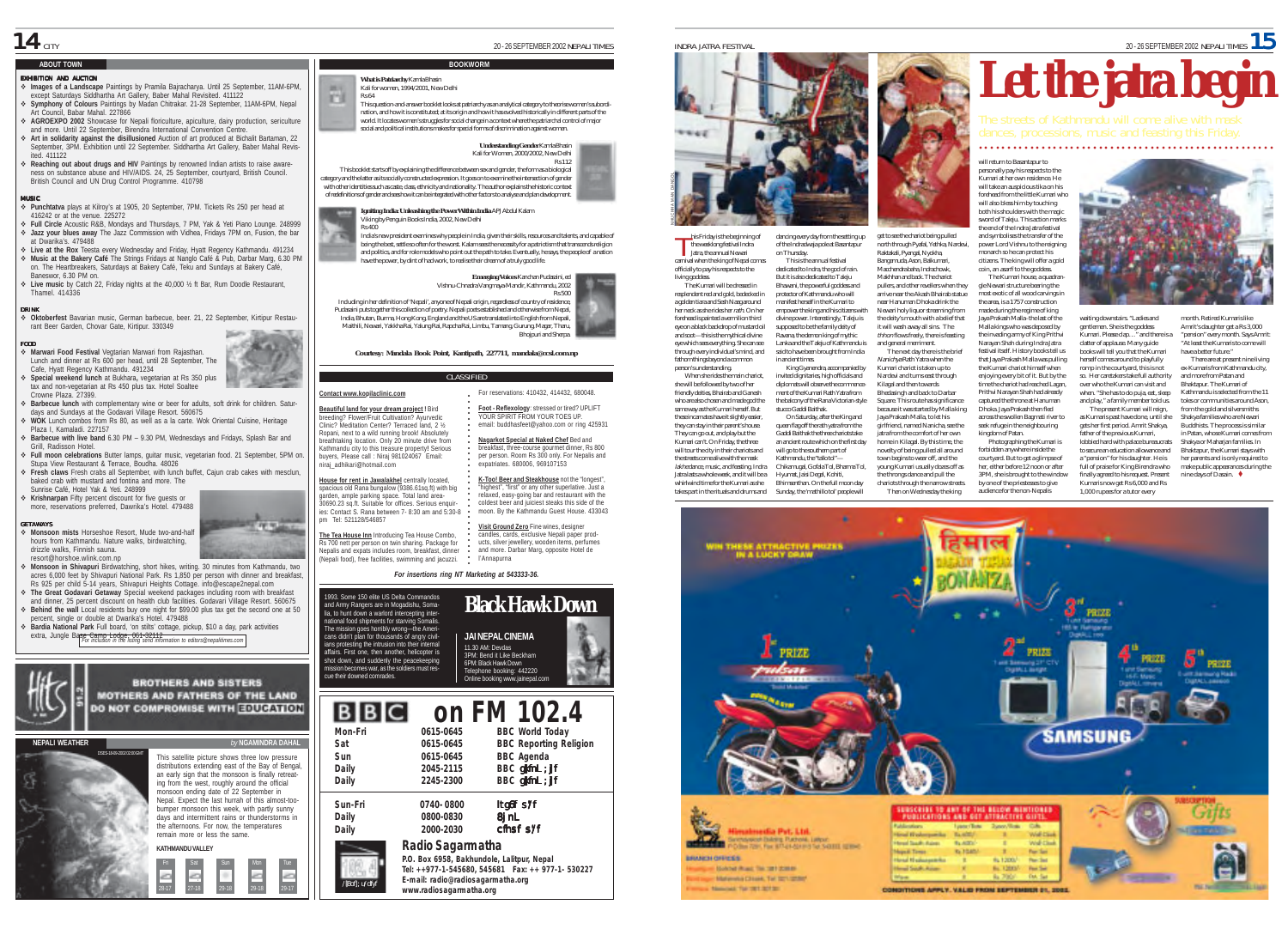# $\, {\bf 14} \,$  city  $^{20\, -26\, {\rm SEPTEDIBER\,2002\, NEPPALI\, TIMES}}$

#### **ABOUT TOWN**

#### EXHIBITION AND AUCTION

- % **Images of a Landscape** Paintings by Pramila Bajracharya. Until 25 September, 11AM-6PM, except Saturdays Siddhartha Art Gallery, Baber Mahal Revisited. 411122 % **Symphony of Colours** Paintings by Madan Chitrakar. 21-28 September, 11AM-6PM, Nepal
- Art Council, Babar Mahal. 227866 % **AGROEXPO 2002** Showcase for Nepali floriculture, apiculture, dairy production, sericulture
- and more. Until 22 September, Birendra International Convention Centre.
- % **Art in solidarity against the disillusioned** Auction of art produced at Bichalit Bartaman, 22 September, 3PM. Exhibition until 22 September. Siddhartha Art Gallery, Baber Mahal Revisited. 411122 % **Reaching out about drugs and HIV** Paintings by renowned Indian artists to raise aware-
- ness on substance abuse and HIV/AIDS. 24, 25 September, courtyard, British Council. British Council and UN Drug Control Programme. 410798

#### MUSIC

% **Punchtatva** plays at Kilroy's at 1905, 20 September, 7PM. Tickets Rs 250 per head at 416242 or at the venue. 225272

- % **Full Circle** Acoustic R&B, Mondays and Thursdays, 7 PM, Yak & Yeti Piano Lounge. 248999 % **Jazz your blues away** The Jazz Commission with Vidhea, Fridays 7PM on, Fusion, the bar at Dwarika's. 479488
- % **Live at the Rox** Teesta every Wednesday and Friday, Hyatt Regency Kathmandu. 491234 % **Music at the Bakery Café** The Strings Fridays at Nanglo Café & Pub, Darbar Marg, 6.30 PM on. The Heartbreakers, Saturdays at Bakery Café, Teku and Sundays at Bakery Café, Baneswor, 6.30 PM on.

% **Live music** by Catch 22, Friday nights at the 40,000 ½ ft Bar, Rum Doodle Restaurant, Thamel. 414336

#### DRINK

% **Oktoberfest** Bavarian music, German barbecue, beer. 21, 22 September, Kirtipur Restaurant Beer Garden, Chovar Gate, Kirtipur. 330349

- FOOD % **Marwari Food Festival** Vegtarian Marwari from Rajasthan. Lunch and dinner at Rs 600 per head, until 28 September, The Cafe, Hyatt Regency Kathmandu. 491234
- % **Special weekend lunch** at Bukhara**,** vegetarian at Rs 350 plus tax and non-vegetarian at Rs 450 plus tax. Hotel Soaltee

Crowne Plaza. 27399. % **Barbecue lunch** with complementary wine or beer for adults, soft drink for children. Satur-

- days and Sundays at the Godavari Village Resort. 560675 % **WOK** Lunch combos from Rs 80, as well as a la carte. Wok Oriental Cuisine, Heritage
- Plaza I, Kamaladi, 227157 % **Barbecue with live band** 6.30 PM – 9.30 PM, Wednesdays and Fridays, Splash Bar and
- Grill, Radisson Hotel. % **Full moon celebrations** Butter lamps, guitar music, vegetarian food. 21 September, 5PM on. Stupa View Restaurant & Terrace, Boudha. 48026
- % **Fresh claws** Fresh crabs all September, with lunch buffet, Cajun crab cakes with mesclun, baked crab with mustard and fontina and more. The

Sunrise Café, Hotel Yak & Yeti. 248999 % **Krishnarpan** Fifty percent discount for five guests or

more, reservations preferred, Dawrika's Hotel. 479488

### GETAWAYS

% **Monsoon mists** Horseshoe Resort, Mude two-and-half hours from Kathmandu. Nature walks, birdwatching, drizzle walks, Finnish sauna. resort@horshoe.wlink.com.np

- % **Monsoon in Shivapuri** Birdwatching, short hikes, writing. 30 minutes from Kathmandu, two acres 6,000 feet by Shivapuri National Park. Rs 1,850 per person with dinner and breakfast, Rs 925 per child 5-14 years, Shivapuri Heights Cottage. info@escape2nepal.com
- % **The Great Godavari Getaway** Special weekend packages including room with breakfast and dinner, 25 percent discount on health club facilities. Godavari Village Resort. 560675 % **Behind the wall** Local residents buy one night for \$99.00 plus tax get the second one at 50

percent, single or double at Dwarika's Hotel. 479488 **Bardia National Park** Full board, 'on stilts' cottage, pickup, \$10 a day, park activities

*For inclusion in the listing send information to editors@nepalitimes.com* extra, Jungle Base Camp Lodge. 061-32112





28-17 27-18 29-18 29-18 29-17

#### **BOOKWORM What is Patriarchy** Kamla Bhasin

#### Kali for women, 1994/2001, New Delh Rs 64

**MARK** 

ю This question-and-answer booklet looks at patriarchy as an analytical category to theorise women's subordination, and how it is constituted; at its origin and how it has evolved historically in different parts of the world. It locates women's struggles for social change in a context where the patriarchal control of major social and political institutions makes for special forms of discrimination against women.

> **Understanding Gender** Kamla Bhasin Kali for Women, 2000/2002, New Delhi



category and the latter as its socially constructed expression. It goes on to examine the intersection of gender with other identities such as caste, class, ethnicity and nationality. The author explains the historic context of redefinitions of gender and sees how it can be integrated with other factors to analyse and plan development.

> **Igniting India: Unleashing the Power Within India** APJ Abdul Kalam Viking by Penguin Books India, 2002, New Delhi Rs 400

India's new president examines why people in India, given their skills, resources and talents, and capable of being the best, settle so often for the worst. Kalam sees the necessity for a patriotism that transcends religion and politics, and for role models who point out the path to take. Eventually, he says, the people of a nation have the power, by dint of had work, to realise their dream of a truly good life.

#### **Emerging Voices** Kanchan Pudasaini, ed Vishnu-Chnadra Vangmaya-Mandir, Kathmandu, 2002

Rs 500 Including in her definition of 'Nepali', anyone of Nepali origin, regardless of country of residence, Pudasaini puts together this collection of poetry. Nepali poets established and otherwise from Nepal, India, Bhutan, Burma, Hong Kong, England and the US are translated into English from Nepali, Maithili, Newari, Yakkha Rai, Yalung Rai, Rapcha Rai, Limbu, Tamang, Gurung, Magar, Tharu, Bhojpuri and Sherpa.

### **CLASSIFIED** *Courtesy: Mandala Book Point, Kantipath, 227711, mandala@ccsl.com.np*

○○○○○○○○○○○○○○○○○○○○ For reservations: 410432, 414432, 680048. **Foot - Reflexology**: stressed or tired? UPLIFT YOUR SPIRIT FROM YOUR TOES UP.

email: buddhasfeet@yahoo.com or ring 425931 **Nagarkot Special at Naked Chef** Bed and breakfast, three-course gourmet dinner, Rs 800 per person. Room Rs 300 only. For Nepalis and expatriates. 680006, 969107153 **K-Too! Beer and Steakhouse** not the "longest", "highest", "first" or any other superlative. Just a relaxed, easy-going bar and restaurant with the coldest beer and juiciest steaks this side of the moon. By the Kathmandu Guest House. 433043 **Visit Ground Zero** Fine wines, designer candles, cards, exclusive Nepali paper prod-ucts, silver jewellery, wooden items, perfumes and more. Darbar Marg, opposite Hotel de

#### **Beautiful land for your dream project !** Bird

breeding? Flower/Fruit Cultivation? Ayurvedic Clinic? Meditation Center? Terraced land, 2 ½ Ropani, next to a wild running brook! Absolutely breathtaking location. Only 20 minute drive from Kathmandu city to this treasure property**!** Serious buyers, Please call : Niraj 981024067 Email: niraj\_adhikari@hotmail.com

**Contact www.kopilaclinic.com**

**House for rent in Jawalakhel** centrally located, spacious old Rana bungalow (9386.61sq.ft) with big garden, ample parking space. Total land area-30690.23 sq.ft. Suitable for offices. Serious enquir-ies: Contact S. Rana between 7- 8:30 am and 5:30-8 pm Tel: 521128/546857

**The Tea House Inn** Introducing Tea House Combo, Rs 700 nett ner person on twin sharing. Package for Nepalis and expats includes room, breakfast, dinner (Nepali food), free facilities, swimming and jacuzzi.

**Sun-Fri 0740- 0800** ltg6f s'/f

 $i$ ission becomes war, as the sold cue their downed comrades.

/**]**8of]; u/dfyf

# *For insertions ring NT Marketing at 543333-36.* ○○○○○○○○○○



l'Annapurna

#### **on FM 102.4 BBC Mon-Fri 0615-0645 BBC World Today Sat 0615-0645 BBC Reporting Religion**

| ∽       |                  | ppo moportang nongo |
|---------|------------------|---------------------|
| Sun     | 0615-0645        | <b>BBC</b> Agenda   |
| Daily   | 2045-2115        | BBC gkfnl ; ]f      |
| Daily   | 2245-2300        | BBC gitfnl; ]f      |
| Sun-Fri | 0740-0800        | ltg6f s/f           |
| Daily   | 0800-0830        | 8j nl               |
| Daily   | 2000-2030        | cfhsf s/f           |
| ۰.      | Dodio Cogarmatho |                     |

#### **Radio Sagarmatha**

**P.O. Box 6958, Bakhundole, Lalitpur, Nepal Tel: ++977-1-545680, 545681 Fax: ++ 977-1- 530227 E-mail: radio@radiosagarmatha.org www.radiosagarmatha.org**



these incarnates have it slightly easier, they can stay in their parent's house. They can go out, and play but the Kumari can't. On Friday, the three will tour the city in their chariots and the streets come alive with the mask lakhe dance, music, and feasting. Indra Jatra lasts a whole week, and it will be a whirlwind time for the Kumari as she stucco Gaddi Baithak. On Saturday, after the King and queen flag off the rath yatra from the Gaddi Baithak the three chariots take an ancient route which on the first day will go to the southern part of Kathmandu, the "tallo tol"— Chikamugal, Gofala Tol, Bharma Tol, Hyumat, Jaisi Degal, Kohiti, Bhimsenthan. On the full moon day

undia Pvt. Ltd

Names Balding Puchold, Littlew

**School Road, Tel. on Filteries** 

Materials Chicak, Tel: 021-2092 Newport for the AST of

**BRANCH ORDERS** 

2361 For STULADERS To SQUID STREET





Macchendra baha, Indrachowk, Makhhan and back. The chariot pullers, and other revellers when they arrive near the Akash Bhairab statue near Hanuman Dhoka drink the Newari holy liquor streaming from the deity's mouth with a belief that it will wash away all sins. The thhon flows freely, there is feasting and general merriment. The next day there is the brief Nanichya Rath Yatra when the Kumari chariot is taken up to citizens. The king will offer a gold coin, an asarfi to the goddess. The Kumari house, a quadrangle Newari structure bearing the most exotic of all wood carvings in the area, is a 1757 construction made during the regime of king Jaya Prakash Malla–the last of the Malla kings who was deposed by

Kilagal and then towards Bhedasingh and back to Darbar Square. This route has significance because it was started by Malla king Jaya Prakash Malla, to let his girlfriend, named Nanicha, see the jatra from the comfort of her own home in Kilagal. By this time, the novelty of being pulled all around town begins to wear off, and the young Kumari usually dozes off as the throngs dance and pull the

Then on Wednesday the king

**Good High-country** 

**Insul Madessenhill** 

**South Solds, Asian** 

**Areal Stack-Autom** 

**Mound Times** 

**Business** 

5,400

**Ka Hitami** 

CONDITIONS APPLY, VALID FROM SEPTEMBER 21, 2002

Webs

Well-cla

Page San

**Band State** 

6,1200 **Painting** 

**ALL LINKS!** 



courtyard. But to get a glimpse of her, either before 12 noon or after 3PM, she is brought to the window

chariots through the narrow streets. by one of the priestesses to give



The present Kumari will reign, father of the previous Kumari, lobbied hard with palace bureaucrats to secure an education allowance and a "pension" for his daughter. He is full of praise for King Birendra who finally agreed to his request. Present

"At least the Kumaris to come will have a better future." There are at present nine living ex-Kumaris from Kathmandu city, and more from Patan and

Kumaris now get Rs 6,000 and Rs

"pension" every month. Says Amrit:

Bhaktapur. The Kumari of Kathmandu is selected from the 11 toles or communities around Ason, from the gold and silversmiths Shakya families who are Newari Buddhists. The process is similar in Patan, whose Kumari comes from Shakya or Maharjan families. In



Prithvi Narayan Shah had already captured the throne at Hanuman Dhoka. Jaya Prakash then fled across the swollen Bagmati river to seek refuge in the neighbouring Photographing the Kumari is forbidden anywhere inside the

will return to Basantapur to personally pay his respects to the Kumari at her own residence. He will take an auspicious tika on his forehead from the little Kumari who will also bless him by touching both his shoulders with the magic sword of Taleju. This action marks the end of the Indra Jatra festival and symbolises the transfer of the power Lord Vishnu to the reigning monarch so he can protect his



**Let the jatra begi** 

○○○○○○○○○○○○○○○○○○○○○○○○○○○○○○○○○ ○○○○○○○○○○○○○○○○○○○





NHUCHHA MAN DANGOL